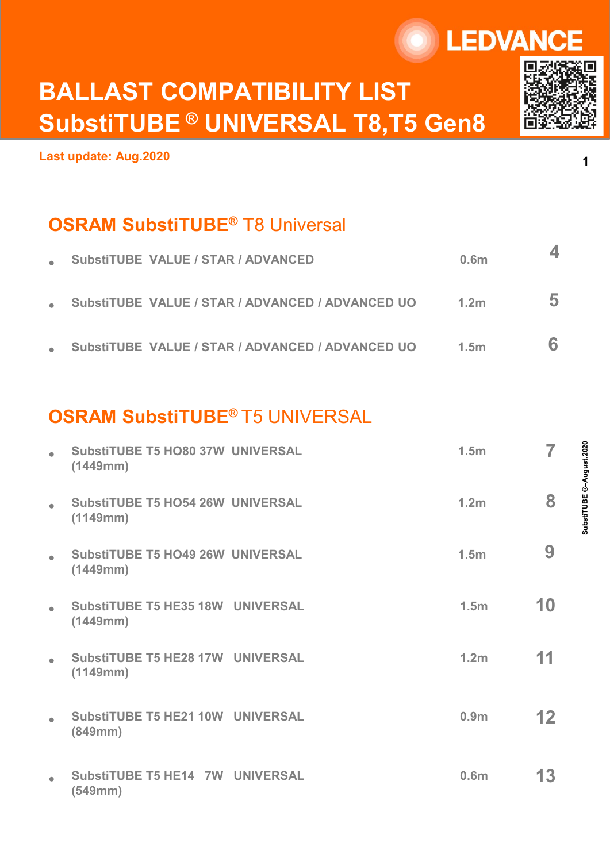# BALLAST COMPATIBILITY LIST SubstiTUBE ® UNIVERSAL T8,T5 Gen8

Last update: Aug.2020

## **OSRAM SubstiTUBE<sup>®</sup> T8 Universal**

|           |                                                                               | <b>LEDVANCE</b>  |   |                      |
|-----------|-------------------------------------------------------------------------------|------------------|---|----------------------|
|           | <b>BALLAST COMPATIBILITY LIST</b><br><b>SubstiTUBE ® UNIVERSAL T8,T5 Gen8</b> |                  |   |                      |
|           | ast update: Aug.2020                                                          |                  |   | 1                    |
|           | <b>OSRAM SubstiTUBE<sup>®</sup> T8 Universal</b>                              |                  |   |                      |
|           | <b>SubstiTUBE VALUE / STAR / ADVANCED</b>                                     | 0.6 <sub>m</sub> | 4 |                      |
|           | SubstiTUBE VALUE / STAR / ADVANCED / ADVANCED UO                              | 1.2 <sub>m</sub> | 5 |                      |
|           | SubstiTUBE VALUE / STAR / ADVANCED / ADVANCED UO                              | 1.5 <sub>m</sub> | 6 |                      |
|           |                                                                               |                  |   |                      |
|           | <b>OSRAM SubstiTUBE® T5 UNIVERSAL</b>                                         |                  |   |                      |
| $\bullet$ | <b>SubstiTUBE T5 HO80 37W UNIVERSAL</b><br>(1449mm)                           | 1.5 <sub>m</sub> |   | tiTUBE ®-August.2020 |
|           | <b>SubstiTUBE T5 HO54 26W UNIVERSAL</b><br>(1110mm)                           | 1.2 <sub>m</sub> | 8 |                      |

## OSRAM SubstiTUBE® T5 UNIVERSAL

| $\bullet$ | <b>SubstiTUBE VALUE / STAR / ADVANCED</b>           |                                                  | 0.6 <sub>m</sub> | $\overline{\mathbf{4}}$ |                          |
|-----------|-----------------------------------------------------|--------------------------------------------------|------------------|-------------------------|--------------------------|
| $\bullet$ |                                                     | SubstiTUBE VALUE / STAR / ADVANCED / ADVANCED UO | 1.2 <sub>m</sub> | 5                       |                          |
| $\bullet$ |                                                     | SubstiTUBE VALUE / STAR / ADVANCED / ADVANCED UO | 1.5 <sub>m</sub> | 6                       |                          |
|           |                                                     |                                                  |                  |                         |                          |
|           | <b>OSRAM SubstiTUBE® T5 UNIVERSAL</b>               |                                                  |                  |                         |                          |
| $\bullet$ | <b>SubstiTUBE T5 HO80 37W UNIVERSAL</b><br>(1449mm) |                                                  | 1.5 <sub>m</sub> | $\overline{7}$          |                          |
| $\bullet$ | <b>SubstiTUBE T5 HO54 26W UNIVERSAL</b><br>(1149mm) |                                                  | 1.2 <sub>m</sub> | 8                       | SubstiTUBE ®-August.2020 |
| $\bullet$ | <b>SubstiTUBE T5 HO49 26W UNIVERSAL</b><br>(1449mm) |                                                  | 1.5 <sub>m</sub> | 9                       |                          |
| $\bullet$ | <b>SubstiTUBE T5 HE35 18W UNIVERSAL</b><br>(1449mm) |                                                  | 1.5 <sub>m</sub> | 10                      |                          |
| $\bullet$ | <b>SubstiTUBE T5 HE28 17W UNIVERSAL</b><br>(1149mm) |                                                  | 1.2 <sub>m</sub> | 11                      |                          |
| $\bullet$ | <b>SubstiTUBE T5 HE21 10W UNIVERSAL</b><br>(849mm)  |                                                  | 0.9 <sub>m</sub> | 12                      |                          |
| $\bullet$ | SubstiTUBE T5 HE14 7W UNIVERSAL<br>(549mm)          |                                                  | 0.6m             | 13                      |                          |
|           |                                                     |                                                  |                  |                         |                          |



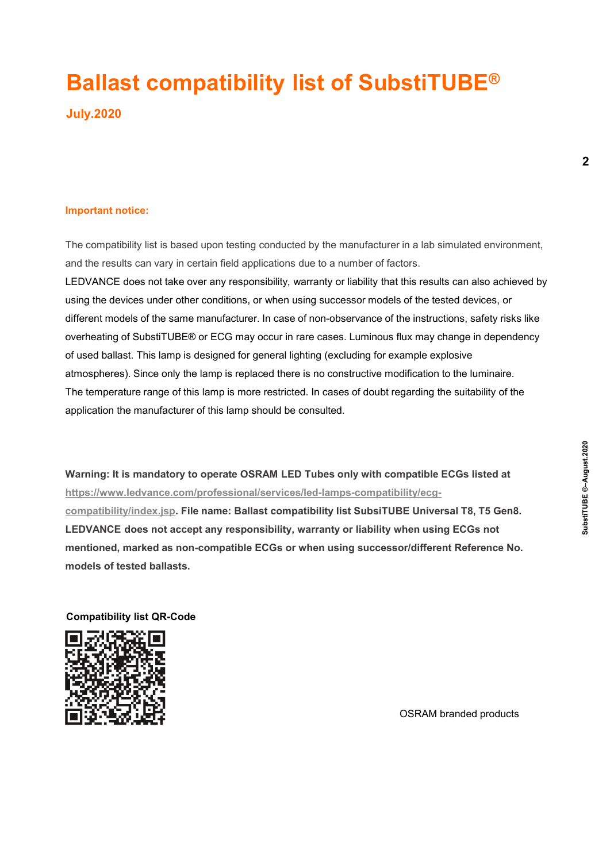## Ballast compatibility list of SubstiTUBE®

July.2020

**Ballast compatibility list of SubstiTl**<br>July.2020<br>Important notice:<br>The compatibility list is based upon testing conducted by the manufacturer in a lab sine<br>and the results can vary in certain field applications due to a The compatibility list is based upon testing conducted by the manufacturer in a lab simulated environment,

**Ballast compatibility list of SubstiTUBE®**<br>July.2020<br>Important notice:<br>The compatibility list is based upon testing conducted by the manufacturer in a lab simulated environment,<br>and the results can vary in certain field a **Ballast compatibility list of SubstiTUBE®**<br>July.2020<br>Important notice:<br>The compatibility list is based upon testing conducted by the manufacturer in a lab simulated environment,<br>LEDVANCE does not take over any responsibil using the devices under other conditions, or when using successor models of the tested devices, or different models of the same manufacturer. In case of non-observance of the instructions, safety risks like overheating of SubstiTUBE® or ECG may occur in rare cases. Luminous flux may change in dependency of used ballast. This lamp is designed for general lighting (excluding for example explosive atmospheres). Since only the lamp is replaced there is no constructive modification to the luminaire. The temperature range of this lamp is more restricted. In cases of doubt regarding the suitability of the application the manufacturer of this lamp should be consulted. The compatibility list is based upon testing conducted by the manufacturer in a lab simulated environment,<br>and the results can vary in certain field applications due to a number of factors.<br>LEDVANCE does not take over any in a lab simulated environment,<br>tors.<br>this results can also achieved by<br>of the tested devices, or<br>he instructions, safety risks like<br>lux may change in dependency<br>ample explosive<br>dification to the luminaire.<br>garding the sui

Warning: It is mandatory to operate OSRAM LED Tubes only with compatible ECGs listed at<br>
https://www.ledvance.com/professional/services/led-lamps-compatibility/ecg-<br>
<u>compatibility/index.jsp</u>. File name: Ballast compatibil https://www.ledvance.com/professional/services/led-lamps-compatibility/ecg-LEDVANCE does not accept any responsibility, warranty or liability when using ECGs not mentioned, marked as non-compatible ECGs or when using successor/different Reference No. models of tested ballasts. of used ballast. This lamp is designed for general lighting (excluding for example explosive<br>atmospheres). Since only the lamp is replaced there is no constructive modification to the lum<br>The temperature range of this lamp

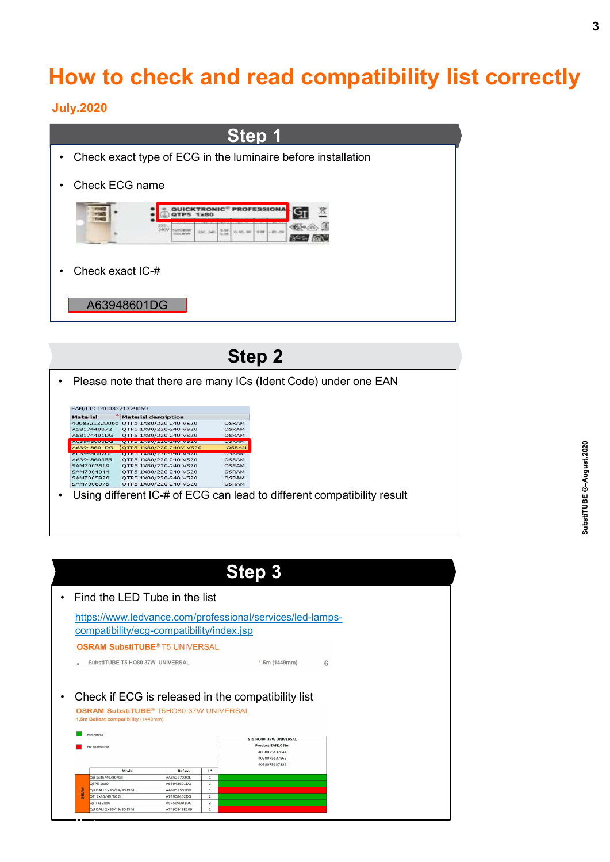## How to check and read compatibility list correctly

#### July.2020



Step 2 • Check exact IC-#  $\overline{\text{A63948601DG}}$ <br>• Check exact IC-#  $\overline{\text{A63948601DG}}$ <br>• Please note that there are many ICs (Ident Code) under one EAN<br>•  $\overline{\text{A63948601DG}}$ <br>•  $\overline{\text{A63948601DG}}$ <br>•  $\overline{\text{A63948601}}$ <br>•  $\overline{\text{A639$ **Step 2**<br>
• Please note that there are many ICs (Ident Code) under one EAN<br>
• Expressions and the list<br>
• Assizance of the issues and vesse are spaced as a series interaction<br>
• Assizance of the interaction of the interac

| <u> Domester versionen </u><br><b>ESISISTARIA</b> | <b>CALLING ART ANNUAL SECOND ACTIVITY OF A STATE</b>                                                                |                                     |                                  | <b>OSRAM</b>                                                                                   |   |  |  |
|---------------------------------------------------|---------------------------------------------------------------------------------------------------------------------|-------------------------------------|----------------------------------|------------------------------------------------------------------------------------------------|---|--|--|
|                                                   |                                                                                                                     | A63948601DG QTP5 1X80/220-240V VS20 | <b>SCHEDULER</b><br><b>OSRAM</b> |                                                                                                |   |  |  |
|                                                   | <b>QTPS LXOU/ZZU-ZHU VSZU</b><br>A6394860355 QTP5 1X80/220-240 VS20                                                 |                                     | <b>PASSAGE</b><br><b>OSRAM</b>   |                                                                                                |   |  |  |
| SAM7004044                                        | SAM7003819 QTP5 1X80/220-240 VS20<br>OTP5 1X80/220-240 VS20                                                         |                                     | <b>OSRAM</b><br>OSRAM            |                                                                                                |   |  |  |
| SAM7005928                                        | QTP5 1X80/220-240 VS20                                                                                              |                                     | <b>OSRAM</b>                     |                                                                                                |   |  |  |
|                                                   | SAM7006075 QTP5 1X80/220-240 VS20                                                                                   |                                     | <b>OSRAM</b>                     |                                                                                                |   |  |  |
|                                                   |                                                                                                                     |                                     |                                  | Using different IC-# of ECG can lead to different compatibility result                         |   |  |  |
|                                                   |                                                                                                                     |                                     |                                  |                                                                                                |   |  |  |
|                                                   |                                                                                                                     |                                     |                                  | <b>Step 3</b>                                                                                  |   |  |  |
|                                                   | Find the LED Tube in the list<br>compatibility/ecg-compatibility/index.jsp<br><b>OSRAM SubstiTUBE® T5 UNIVERSAL</b> |                                     |                                  | https://www.ledvance.com/professional/services/led-lamps-                                      |   |  |  |
|                                                   | SubstiTUBE T5 HO80 37W UNIVERSAL                                                                                    |                                     |                                  | 1.5m(1449mm)                                                                                   | 6 |  |  |
|                                                   |                                                                                                                     |                                     |                                  |                                                                                                |   |  |  |
|                                                   | <b>OSRAM SubstiTUBE®</b> T5HO80 37W UNIVERSAL<br>1.5m Ballast compatibility (1449mm)                                |                                     |                                  | Check if ECG is released in the compatibility list                                             |   |  |  |
| compatible                                        |                                                                                                                     |                                     |                                  |                                                                                                |   |  |  |
| not compatible                                    |                                                                                                                     |                                     |                                  | ST5 HO80 37W UNIVERSAL<br>Product EAN10 No.<br>4058075137844<br>4058075137868<br>4058075137882 |   |  |  |
|                                                   | Model                                                                                                               | Ref.no                              | $L^*$                            |                                                                                                |   |  |  |
| Qti 1x35/49/80/GII<br>QTP5 1x80                   |                                                                                                                     | AA3529702OL<br>463948601DG          | $\mathbf{1}$<br>$\mathbf 1$      |                                                                                                |   |  |  |
| Qti DALI 1X35/49/80 DIM                           |                                                                                                                     | A3853501DG                          | $\mathbf 1$                      |                                                                                                |   |  |  |
| QTI 2x35/49/80 GII                                |                                                                                                                     | 474908402DG                         | $\mathbf{2}$                     |                                                                                                |   |  |  |
| QT-FQ 2x80<br>Qti DALI 2X35/49/80 DIM             |                                                                                                                     | 457569D01DG<br>A749084EE209         | $\overline{2}$<br>$\overline{2}$ |                                                                                                |   |  |  |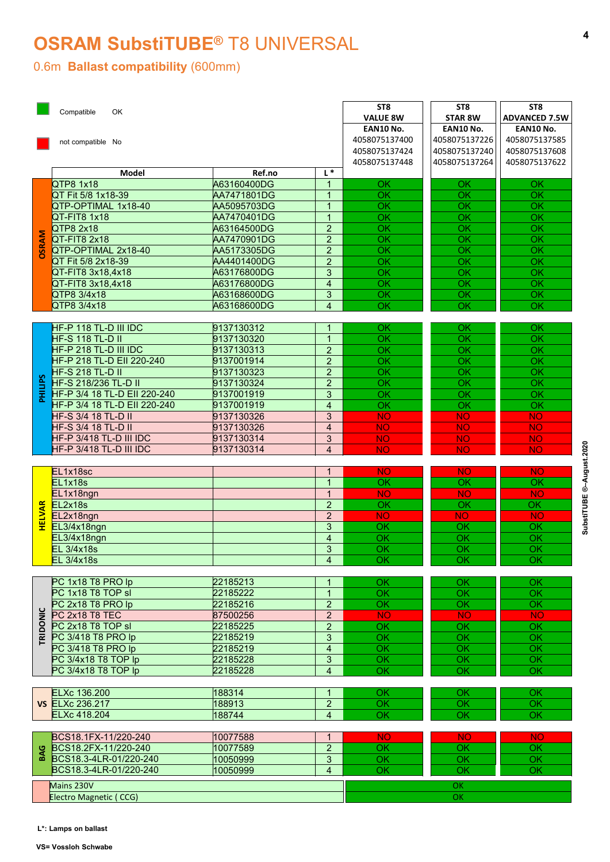## OSRAM SubstiTUBE® T8 UNIVERSAL

#### 0.6m Ballast compatibility (600mm)

| <b>VALUE 8W</b><br><b>STAR 8W</b><br>EAN10 No.<br>EAN10 No.<br>EAN10 No.<br>4058075137226<br>4058075137400<br>4058075137585<br>not compatible No<br>4058075137424<br>4058075137240<br>4058075137608<br>4058075137264<br>4058075137448<br>4058075137622<br>$L^*$<br><b>Model</b><br>Ref.no<br>QTP8 1x18<br>A63160400DG<br>$\overline{1}$<br>OK<br>OK.<br>OK.<br>QT Fit 5/8 1x18-39<br>OK<br>AA7471801DG<br>$\overline{1}$<br>OK<br>OK<br>$\overline{OK}$<br>QTP-OPTIMAL 1x18-40<br>OK<br>OK<br>AA5095703DG<br>$\overline{1}$<br>$\overline{OK}$<br>$\overline{1}$<br>$\overline{OK}$<br>$\overline{OK}$<br>QT-FIT8 1x18<br>AA7470401DG<br>$\overline{2}$<br>$\overline{OK}$<br>QTP8 2x18<br>A63164500DG<br>OK<br>OK<br><b>DSRAM</b><br>QT-FIT8 2x18<br>AA7470901DG<br>$\overline{2}$<br>OK<br>OK<br>OK<br>QTP-OPTIMAL 2x18-40<br>$\overline{2}$<br>OK<br>AA5173305DG<br>OK<br>OK<br>OK<br>QT Fit 5/8 2x18-39<br>AA4401400DG<br>$\overline{2}$<br>OK<br>OK<br>3<br>$\overline{OK}$<br>A63176800DG<br>OK<br><b>OK</b><br>QT-FIT8 3x18,4x18<br>A63176800DG<br>OK<br>OK<br>OK<br>QT-FIT8 3x18,4x18<br>$\overline{4}$<br>QTP8 3/4x18<br>3<br>A63168600DG<br>OK<br><b>OK</b><br>OK<br>QTP8 3/4x18<br>A63168600DG<br>$\overline{4}$<br><b>OK</b><br>OK<br>OK<br>HF-P 118 TL-D III IDC<br>9137130312<br>OK<br>$\overline{1}$<br>OK<br>OK.<br>$\overline{OK}$<br>$\overline{OK}$<br>$\overline{OK}$<br><b>HF-S 118 TL-D II</b><br>9137130320<br>$\overline{1}$<br>HF-P 218 TL-D III IDC<br>9137130313<br>$\overline{2}$<br>OK<br>OK<br>OK<br>$\overline{OK}$<br>$\overline{OK}$<br>$\overline{OK}$<br>HF-P 218 TL-D EII 220-240<br>9137001914<br>$\overline{2}$<br>$\overline{OK}$<br>$\overline{OK}$<br>$\overline{OK}$<br><b>HF-S 218 TL-D II</b><br>9137130323<br>$\overline{2}$<br>PHILIPS<br>$\overline{OK}$<br><b>HF-S 218/236 TL-D II</b><br>$\overline{OK}$<br>$\overline{OK}$<br>9137130324<br>$\overline{2}$<br>$\overline{OK}$<br>$\overline{OK}$<br>HF-P 3/4 18 TL-D EII 220-240<br>$\overline{OK}$<br>9137001919<br>3<br>HF-P 3/4 18 TL-D EII 220-240<br>9137001919<br>$\overline{4}$<br>$\overline{\mathsf{OK}}$<br>$\overline{OK}$<br>OK<br><b>HF-S 3/4 18 TL-D II</b><br>9137130326<br>$\mathbf{3}$<br><b>NO</b><br><b>NO</b><br><b>NO</b><br><b>HF-S 3/4 18 TL-D II</b><br>9137130326<br><b>NO</b><br><b>NO</b><br>$\overline{4}$<br><b>NO</b><br>$\mathfrak{S}$<br><b>NO</b><br><b>NO</b><br>HF-P 3/418 TL-D III IDC<br>9137130314<br><b>NO</b><br>$\overline{NO}$<br><b>NO</b><br><b>NO</b><br>HF-P 3/418 TL-D III IDC<br>9137130314<br>$\overline{4}$<br>EL1x18sc<br><b>NO</b><br><b>NO</b><br><b>NO</b><br>$\overline{\mathbf{1}}$<br>EL1x18s<br>$\overline{OK}$<br>OK<br>OK<br>$\overline{1}$<br>EL1x18ngn<br>$\overline{1}$<br><b>NO</b><br><b>NO</b><br><b>NO</b><br>EL2x18s<br>EL2x18ng<br>EL3/4x18<br>$\overline{OK}$<br>$\overline{2}$<br>$\overline{OK}$<br>$\overline{OK}$<br><b>NO</b><br>EL2x18ngn<br>$\overline{2}$<br><b>NO</b><br><b>NO</b><br>EL3/4x18ngn<br>$\mathbf{3}$<br>OK<br>OK<br>OK<br>$\overline{OK}$<br>$\overline{OK}$<br>EL3/4x18ngn<br>$\overline{4}$<br>OK<br><b>EL 3/4x18s</b><br>$\overline{OK}$<br>$\overline{OK}$<br>3<br>OK<br><b>EL 3/4x18s</b><br>$\overline{OK}$<br>$\overline{OK}$<br>$\overline{OK}$<br>$\overline{4}$<br>PC 1x18 T8 PRO lp<br>22185213<br><b>OK</b><br>OK<br>OK<br>PC 1x18 T8 TOP sl<br>22185222<br>$\overline{OK}$<br>OK<br>OK<br>$\overline{1}$<br>PC 2x18 T8 PRO lp<br>22185216<br>$\overline{2}$<br>$\overline{OK}$<br>$\overline{OK}$<br>$\overline{OK}$<br>TRIDONIC<br>$\overline{NO}$<br>PC 2x18 T8 TEC<br>87500256<br>$2^{\circ}$<br><b>NO</b><br><b>NO</b><br>PC 2x18 T8 TOP sl<br>22185225<br>$\overline{2}$<br>$\overline{OK}$<br>$\overline{OK}$<br>OK<br>PC 3/418 T8 PRO lp<br>$\overline{OK}$<br>$\overline{OK}$<br>22185219<br>OK<br>3<br>$\overline{OK}$<br>$\overline{OK}$<br>PC 3/418 T8 PRO lp<br>22185219<br>$\overline{4}$<br>OK<br>22185228<br>$\overline{OK}$<br>$\overline{OK}$<br>PC 3/4x18 T8 TOP lp<br>3<br>OK<br>$\overline{OK}$<br>PC 3/4x18 T8 TOP lp<br>22185228<br>$\overline{OK}$<br>$\overline{OK}$<br>$\overline{4}$<br>188314<br>ELXc 136.200<br>$\overline{1}$<br>OK<br>OK<br>OK<br><b>VS ELXc 236.217</b><br>$\overline{2}$<br>188913<br>OK<br>OK<br>OK<br><b>ELXc 418.204</b><br>$\overline{Q}$<br>$\overline{OK}$<br>$\overline{OK}$<br>188744<br>$\overline{4}$<br>BCS18.1FX-11/220-240<br>10077588<br><b>NO</b><br>$\overline{1}$<br><b>NO</b><br><b>NO</b><br>$\overline{2}$<br>BCS18.2FX-11/220-240<br>BCS18.3-4LR-01/220-240<br>10077589<br>OK<br>OK<br>OK<br>$\overline{OK}$<br>$\overline{OK}$<br>$\overline{OK}$<br>10050999<br>$\mathbf{3}$<br>$\overline{OK}$<br>BCS18.3-4LR-01/220-240<br>$\overline{4}$<br>OK<br>OK<br>10050999<br>Mains 230V<br>OK<br>Electro Magnetic (CCG)<br>OK | <b>ADVANCED 7.5W</b> | L*: Lamps on ballast |                  |  | ST8 | ST8 | ST <sub>8</sub> |
|-----------------------------------------------------------------------------------------------------------------------------------------------------------------------------------------------------------------------------------------------------------------------------------------------------------------------------------------------------------------------------------------------------------------------------------------------------------------------------------------------------------------------------------------------------------------------------------------------------------------------------------------------------------------------------------------------------------------------------------------------------------------------------------------------------------------------------------------------------------------------------------------------------------------------------------------------------------------------------------------------------------------------------------------------------------------------------------------------------------------------------------------------------------------------------------------------------------------------------------------------------------------------------------------------------------------------------------------------------------------------------------------------------------------------------------------------------------------------------------------------------------------------------------------------------------------------------------------------------------------------------------------------------------------------------------------------------------------------------------------------------------------------------------------------------------------------------------------------------------------------------------------------------------------------------------------------------------------------------------------------------------------------------------------------------------------------------------------------------------------------------------------------------------------------------------------------------------------------------------------------------------------------------------------------------------------------------------------------------------------------------------------------------------------------------------------------------------------------------------------------------------------------------------------------------------------------------------------------------------------------------------------------------------------------------------------------------------------------------------------------------------------------------------------------------------------------------------------------------------------------------------------------------------------------------------------------------------------------------------------------------------------------------------------------------------------------------------------------------------------------------------------------------------------------------------------------------------------------------------------------------------------------------------------------------------------------------------------------------------------------------------------------------------------------------------------------------------------------------------------------------------------------------------------------------------------------------------------------------------------------------------------------------------------------------------------------------------------------------------------------------------------------------------------------------------------------------------------------------------------------------------------------------------------------------------------------------------------------------------------------------------------------------------------------------------------------------------------------------------------------------------------------------------------------------------------------------------------------------------------------------------------------------------------------------------------------------------------------------------------------------------------------------------------------------------------------------------------------------------------------------------------------------------------------------------------------------------------------------------------------------------------------------------------------------------------------------------------------------------------------------------------------------------------------------------|----------------------|----------------------|------------------|--|-----|-----|-----------------|
|                                                                                                                                                                                                                                                                                                                                                                                                                                                                                                                                                                                                                                                                                                                                                                                                                                                                                                                                                                                                                                                                                                                                                                                                                                                                                                                                                                                                                                                                                                                                                                                                                                                                                                                                                                                                                                                                                                                                                                                                                                                                                                                                                                                                                                                                                                                                                                                                                                                                                                                                                                                                                                                                                                                                                                                                                                                                                                                                                                                                                                                                                                                                                                                                                                                                                                                                                                                                                                                                                                                                                                                                                                                                                                                                                                                                                                                                                                                                                                                                                                                                                                                                                                                                                                                                                                                                                                                                                                                                                                                                                                                                                                                                                                                                                                                                           |                      |                      | Compatible<br>OK |  |     |     |                 |
|                                                                                                                                                                                                                                                                                                                                                                                                                                                                                                                                                                                                                                                                                                                                                                                                                                                                                                                                                                                                                                                                                                                                                                                                                                                                                                                                                                                                                                                                                                                                                                                                                                                                                                                                                                                                                                                                                                                                                                                                                                                                                                                                                                                                                                                                                                                                                                                                                                                                                                                                                                                                                                                                                                                                                                                                                                                                                                                                                                                                                                                                                                                                                                                                                                                                                                                                                                                                                                                                                                                                                                                                                                                                                                                                                                                                                                                                                                                                                                                                                                                                                                                                                                                                                                                                                                                                                                                                                                                                                                                                                                                                                                                                                                                                                                                                           |                      |                      |                  |  |     |     |                 |
|                                                                                                                                                                                                                                                                                                                                                                                                                                                                                                                                                                                                                                                                                                                                                                                                                                                                                                                                                                                                                                                                                                                                                                                                                                                                                                                                                                                                                                                                                                                                                                                                                                                                                                                                                                                                                                                                                                                                                                                                                                                                                                                                                                                                                                                                                                                                                                                                                                                                                                                                                                                                                                                                                                                                                                                                                                                                                                                                                                                                                                                                                                                                                                                                                                                                                                                                                                                                                                                                                                                                                                                                                                                                                                                                                                                                                                                                                                                                                                                                                                                                                                                                                                                                                                                                                                                                                                                                                                                                                                                                                                                                                                                                                                                                                                                                           |                      |                      |                  |  |     |     |                 |
|                                                                                                                                                                                                                                                                                                                                                                                                                                                                                                                                                                                                                                                                                                                                                                                                                                                                                                                                                                                                                                                                                                                                                                                                                                                                                                                                                                                                                                                                                                                                                                                                                                                                                                                                                                                                                                                                                                                                                                                                                                                                                                                                                                                                                                                                                                                                                                                                                                                                                                                                                                                                                                                                                                                                                                                                                                                                                                                                                                                                                                                                                                                                                                                                                                                                                                                                                                                                                                                                                                                                                                                                                                                                                                                                                                                                                                                                                                                                                                                                                                                                                                                                                                                                                                                                                                                                                                                                                                                                                                                                                                                                                                                                                                                                                                                                           |                      |                      |                  |  |     |     |                 |
|                                                                                                                                                                                                                                                                                                                                                                                                                                                                                                                                                                                                                                                                                                                                                                                                                                                                                                                                                                                                                                                                                                                                                                                                                                                                                                                                                                                                                                                                                                                                                                                                                                                                                                                                                                                                                                                                                                                                                                                                                                                                                                                                                                                                                                                                                                                                                                                                                                                                                                                                                                                                                                                                                                                                                                                                                                                                                                                                                                                                                                                                                                                                                                                                                                                                                                                                                                                                                                                                                                                                                                                                                                                                                                                                                                                                                                                                                                                                                                                                                                                                                                                                                                                                                                                                                                                                                                                                                                                                                                                                                                                                                                                                                                                                                                                                           |                      |                      |                  |  |     |     |                 |
|                                                                                                                                                                                                                                                                                                                                                                                                                                                                                                                                                                                                                                                                                                                                                                                                                                                                                                                                                                                                                                                                                                                                                                                                                                                                                                                                                                                                                                                                                                                                                                                                                                                                                                                                                                                                                                                                                                                                                                                                                                                                                                                                                                                                                                                                                                                                                                                                                                                                                                                                                                                                                                                                                                                                                                                                                                                                                                                                                                                                                                                                                                                                                                                                                                                                                                                                                                                                                                                                                                                                                                                                                                                                                                                                                                                                                                                                                                                                                                                                                                                                                                                                                                                                                                                                                                                                                                                                                                                                                                                                                                                                                                                                                                                                                                                                           |                      |                      |                  |  |     |     |                 |
|                                                                                                                                                                                                                                                                                                                                                                                                                                                                                                                                                                                                                                                                                                                                                                                                                                                                                                                                                                                                                                                                                                                                                                                                                                                                                                                                                                                                                                                                                                                                                                                                                                                                                                                                                                                                                                                                                                                                                                                                                                                                                                                                                                                                                                                                                                                                                                                                                                                                                                                                                                                                                                                                                                                                                                                                                                                                                                                                                                                                                                                                                                                                                                                                                                                                                                                                                                                                                                                                                                                                                                                                                                                                                                                                                                                                                                                                                                                                                                                                                                                                                                                                                                                                                                                                                                                                                                                                                                                                                                                                                                                                                                                                                                                                                                                                           |                      |                      |                  |  |     |     |                 |
|                                                                                                                                                                                                                                                                                                                                                                                                                                                                                                                                                                                                                                                                                                                                                                                                                                                                                                                                                                                                                                                                                                                                                                                                                                                                                                                                                                                                                                                                                                                                                                                                                                                                                                                                                                                                                                                                                                                                                                                                                                                                                                                                                                                                                                                                                                                                                                                                                                                                                                                                                                                                                                                                                                                                                                                                                                                                                                                                                                                                                                                                                                                                                                                                                                                                                                                                                                                                                                                                                                                                                                                                                                                                                                                                                                                                                                                                                                                                                                                                                                                                                                                                                                                                                                                                                                                                                                                                                                                                                                                                                                                                                                                                                                                                                                                                           |                      |                      |                  |  |     |     |                 |
|                                                                                                                                                                                                                                                                                                                                                                                                                                                                                                                                                                                                                                                                                                                                                                                                                                                                                                                                                                                                                                                                                                                                                                                                                                                                                                                                                                                                                                                                                                                                                                                                                                                                                                                                                                                                                                                                                                                                                                                                                                                                                                                                                                                                                                                                                                                                                                                                                                                                                                                                                                                                                                                                                                                                                                                                                                                                                                                                                                                                                                                                                                                                                                                                                                                                                                                                                                                                                                                                                                                                                                                                                                                                                                                                                                                                                                                                                                                                                                                                                                                                                                                                                                                                                                                                                                                                                                                                                                                                                                                                                                                                                                                                                                                                                                                                           |                      |                      |                  |  |     |     |                 |
|                                                                                                                                                                                                                                                                                                                                                                                                                                                                                                                                                                                                                                                                                                                                                                                                                                                                                                                                                                                                                                                                                                                                                                                                                                                                                                                                                                                                                                                                                                                                                                                                                                                                                                                                                                                                                                                                                                                                                                                                                                                                                                                                                                                                                                                                                                                                                                                                                                                                                                                                                                                                                                                                                                                                                                                                                                                                                                                                                                                                                                                                                                                                                                                                                                                                                                                                                                                                                                                                                                                                                                                                                                                                                                                                                                                                                                                                                                                                                                                                                                                                                                                                                                                                                                                                                                                                                                                                                                                                                                                                                                                                                                                                                                                                                                                                           |                      |                      |                  |  |     |     |                 |
|                                                                                                                                                                                                                                                                                                                                                                                                                                                                                                                                                                                                                                                                                                                                                                                                                                                                                                                                                                                                                                                                                                                                                                                                                                                                                                                                                                                                                                                                                                                                                                                                                                                                                                                                                                                                                                                                                                                                                                                                                                                                                                                                                                                                                                                                                                                                                                                                                                                                                                                                                                                                                                                                                                                                                                                                                                                                                                                                                                                                                                                                                                                                                                                                                                                                                                                                                                                                                                                                                                                                                                                                                                                                                                                                                                                                                                                                                                                                                                                                                                                                                                                                                                                                                                                                                                                                                                                                                                                                                                                                                                                                                                                                                                                                                                                                           |                      |                      |                  |  |     |     |                 |
|                                                                                                                                                                                                                                                                                                                                                                                                                                                                                                                                                                                                                                                                                                                                                                                                                                                                                                                                                                                                                                                                                                                                                                                                                                                                                                                                                                                                                                                                                                                                                                                                                                                                                                                                                                                                                                                                                                                                                                                                                                                                                                                                                                                                                                                                                                                                                                                                                                                                                                                                                                                                                                                                                                                                                                                                                                                                                                                                                                                                                                                                                                                                                                                                                                                                                                                                                                                                                                                                                                                                                                                                                                                                                                                                                                                                                                                                                                                                                                                                                                                                                                                                                                                                                                                                                                                                                                                                                                                                                                                                                                                                                                                                                                                                                                                                           |                      |                      |                  |  |     |     |                 |
|                                                                                                                                                                                                                                                                                                                                                                                                                                                                                                                                                                                                                                                                                                                                                                                                                                                                                                                                                                                                                                                                                                                                                                                                                                                                                                                                                                                                                                                                                                                                                                                                                                                                                                                                                                                                                                                                                                                                                                                                                                                                                                                                                                                                                                                                                                                                                                                                                                                                                                                                                                                                                                                                                                                                                                                                                                                                                                                                                                                                                                                                                                                                                                                                                                                                                                                                                                                                                                                                                                                                                                                                                                                                                                                                                                                                                                                                                                                                                                                                                                                                                                                                                                                                                                                                                                                                                                                                                                                                                                                                                                                                                                                                                                                                                                                                           |                      |                      |                  |  |     |     |                 |
|                                                                                                                                                                                                                                                                                                                                                                                                                                                                                                                                                                                                                                                                                                                                                                                                                                                                                                                                                                                                                                                                                                                                                                                                                                                                                                                                                                                                                                                                                                                                                                                                                                                                                                                                                                                                                                                                                                                                                                                                                                                                                                                                                                                                                                                                                                                                                                                                                                                                                                                                                                                                                                                                                                                                                                                                                                                                                                                                                                                                                                                                                                                                                                                                                                                                                                                                                                                                                                                                                                                                                                                                                                                                                                                                                                                                                                                                                                                                                                                                                                                                                                                                                                                                                                                                                                                                                                                                                                                                                                                                                                                                                                                                                                                                                                                                           |                      |                      |                  |  |     |     |                 |
|                                                                                                                                                                                                                                                                                                                                                                                                                                                                                                                                                                                                                                                                                                                                                                                                                                                                                                                                                                                                                                                                                                                                                                                                                                                                                                                                                                                                                                                                                                                                                                                                                                                                                                                                                                                                                                                                                                                                                                                                                                                                                                                                                                                                                                                                                                                                                                                                                                                                                                                                                                                                                                                                                                                                                                                                                                                                                                                                                                                                                                                                                                                                                                                                                                                                                                                                                                                                                                                                                                                                                                                                                                                                                                                                                                                                                                                                                                                                                                                                                                                                                                                                                                                                                                                                                                                                                                                                                                                                                                                                                                                                                                                                                                                                                                                                           |                      |                      |                  |  |     |     |                 |
|                                                                                                                                                                                                                                                                                                                                                                                                                                                                                                                                                                                                                                                                                                                                                                                                                                                                                                                                                                                                                                                                                                                                                                                                                                                                                                                                                                                                                                                                                                                                                                                                                                                                                                                                                                                                                                                                                                                                                                                                                                                                                                                                                                                                                                                                                                                                                                                                                                                                                                                                                                                                                                                                                                                                                                                                                                                                                                                                                                                                                                                                                                                                                                                                                                                                                                                                                                                                                                                                                                                                                                                                                                                                                                                                                                                                                                                                                                                                                                                                                                                                                                                                                                                                                                                                                                                                                                                                                                                                                                                                                                                                                                                                                                                                                                                                           |                      |                      |                  |  |     |     |                 |
|                                                                                                                                                                                                                                                                                                                                                                                                                                                                                                                                                                                                                                                                                                                                                                                                                                                                                                                                                                                                                                                                                                                                                                                                                                                                                                                                                                                                                                                                                                                                                                                                                                                                                                                                                                                                                                                                                                                                                                                                                                                                                                                                                                                                                                                                                                                                                                                                                                                                                                                                                                                                                                                                                                                                                                                                                                                                                                                                                                                                                                                                                                                                                                                                                                                                                                                                                                                                                                                                                                                                                                                                                                                                                                                                                                                                                                                                                                                                                                                                                                                                                                                                                                                                                                                                                                                                                                                                                                                                                                                                                                                                                                                                                                                                                                                                           |                      |                      |                  |  |     |     |                 |
|                                                                                                                                                                                                                                                                                                                                                                                                                                                                                                                                                                                                                                                                                                                                                                                                                                                                                                                                                                                                                                                                                                                                                                                                                                                                                                                                                                                                                                                                                                                                                                                                                                                                                                                                                                                                                                                                                                                                                                                                                                                                                                                                                                                                                                                                                                                                                                                                                                                                                                                                                                                                                                                                                                                                                                                                                                                                                                                                                                                                                                                                                                                                                                                                                                                                                                                                                                                                                                                                                                                                                                                                                                                                                                                                                                                                                                                                                                                                                                                                                                                                                                                                                                                                                                                                                                                                                                                                                                                                                                                                                                                                                                                                                                                                                                                                           |                      |                      |                  |  |     |     |                 |
|                                                                                                                                                                                                                                                                                                                                                                                                                                                                                                                                                                                                                                                                                                                                                                                                                                                                                                                                                                                                                                                                                                                                                                                                                                                                                                                                                                                                                                                                                                                                                                                                                                                                                                                                                                                                                                                                                                                                                                                                                                                                                                                                                                                                                                                                                                                                                                                                                                                                                                                                                                                                                                                                                                                                                                                                                                                                                                                                                                                                                                                                                                                                                                                                                                                                                                                                                                                                                                                                                                                                                                                                                                                                                                                                                                                                                                                                                                                                                                                                                                                                                                                                                                                                                                                                                                                                                                                                                                                                                                                                                                                                                                                                                                                                                                                                           |                      |                      |                  |  |     |     |                 |
|                                                                                                                                                                                                                                                                                                                                                                                                                                                                                                                                                                                                                                                                                                                                                                                                                                                                                                                                                                                                                                                                                                                                                                                                                                                                                                                                                                                                                                                                                                                                                                                                                                                                                                                                                                                                                                                                                                                                                                                                                                                                                                                                                                                                                                                                                                                                                                                                                                                                                                                                                                                                                                                                                                                                                                                                                                                                                                                                                                                                                                                                                                                                                                                                                                                                                                                                                                                                                                                                                                                                                                                                                                                                                                                                                                                                                                                                                                                                                                                                                                                                                                                                                                                                                                                                                                                                                                                                                                                                                                                                                                                                                                                                                                                                                                                                           |                      |                      |                  |  |     |     |                 |
|                                                                                                                                                                                                                                                                                                                                                                                                                                                                                                                                                                                                                                                                                                                                                                                                                                                                                                                                                                                                                                                                                                                                                                                                                                                                                                                                                                                                                                                                                                                                                                                                                                                                                                                                                                                                                                                                                                                                                                                                                                                                                                                                                                                                                                                                                                                                                                                                                                                                                                                                                                                                                                                                                                                                                                                                                                                                                                                                                                                                                                                                                                                                                                                                                                                                                                                                                                                                                                                                                                                                                                                                                                                                                                                                                                                                                                                                                                                                                                                                                                                                                                                                                                                                                                                                                                                                                                                                                                                                                                                                                                                                                                                                                                                                                                                                           |                      |                      |                  |  |     |     |                 |
|                                                                                                                                                                                                                                                                                                                                                                                                                                                                                                                                                                                                                                                                                                                                                                                                                                                                                                                                                                                                                                                                                                                                                                                                                                                                                                                                                                                                                                                                                                                                                                                                                                                                                                                                                                                                                                                                                                                                                                                                                                                                                                                                                                                                                                                                                                                                                                                                                                                                                                                                                                                                                                                                                                                                                                                                                                                                                                                                                                                                                                                                                                                                                                                                                                                                                                                                                                                                                                                                                                                                                                                                                                                                                                                                                                                                                                                                                                                                                                                                                                                                                                                                                                                                                                                                                                                                                                                                                                                                                                                                                                                                                                                                                                                                                                                                           |                      |                      |                  |  |     |     |                 |
|                                                                                                                                                                                                                                                                                                                                                                                                                                                                                                                                                                                                                                                                                                                                                                                                                                                                                                                                                                                                                                                                                                                                                                                                                                                                                                                                                                                                                                                                                                                                                                                                                                                                                                                                                                                                                                                                                                                                                                                                                                                                                                                                                                                                                                                                                                                                                                                                                                                                                                                                                                                                                                                                                                                                                                                                                                                                                                                                                                                                                                                                                                                                                                                                                                                                                                                                                                                                                                                                                                                                                                                                                                                                                                                                                                                                                                                                                                                                                                                                                                                                                                                                                                                                                                                                                                                                                                                                                                                                                                                                                                                                                                                                                                                                                                                                           |                      |                      |                  |  |     |     |                 |
|                                                                                                                                                                                                                                                                                                                                                                                                                                                                                                                                                                                                                                                                                                                                                                                                                                                                                                                                                                                                                                                                                                                                                                                                                                                                                                                                                                                                                                                                                                                                                                                                                                                                                                                                                                                                                                                                                                                                                                                                                                                                                                                                                                                                                                                                                                                                                                                                                                                                                                                                                                                                                                                                                                                                                                                                                                                                                                                                                                                                                                                                                                                                                                                                                                                                                                                                                                                                                                                                                                                                                                                                                                                                                                                                                                                                                                                                                                                                                                                                                                                                                                                                                                                                                                                                                                                                                                                                                                                                                                                                                                                                                                                                                                                                                                                                           |                      |                      |                  |  |     |     |                 |
|                                                                                                                                                                                                                                                                                                                                                                                                                                                                                                                                                                                                                                                                                                                                                                                                                                                                                                                                                                                                                                                                                                                                                                                                                                                                                                                                                                                                                                                                                                                                                                                                                                                                                                                                                                                                                                                                                                                                                                                                                                                                                                                                                                                                                                                                                                                                                                                                                                                                                                                                                                                                                                                                                                                                                                                                                                                                                                                                                                                                                                                                                                                                                                                                                                                                                                                                                                                                                                                                                                                                                                                                                                                                                                                                                                                                                                                                                                                                                                                                                                                                                                                                                                                                                                                                                                                                                                                                                                                                                                                                                                                                                                                                                                                                                                                                           |                      |                      |                  |  |     |     |                 |
|                                                                                                                                                                                                                                                                                                                                                                                                                                                                                                                                                                                                                                                                                                                                                                                                                                                                                                                                                                                                                                                                                                                                                                                                                                                                                                                                                                                                                                                                                                                                                                                                                                                                                                                                                                                                                                                                                                                                                                                                                                                                                                                                                                                                                                                                                                                                                                                                                                                                                                                                                                                                                                                                                                                                                                                                                                                                                                                                                                                                                                                                                                                                                                                                                                                                                                                                                                                                                                                                                                                                                                                                                                                                                                                                                                                                                                                                                                                                                                                                                                                                                                                                                                                                                                                                                                                                                                                                                                                                                                                                                                                                                                                                                                                                                                                                           |                      |                      |                  |  |     |     |                 |
|                                                                                                                                                                                                                                                                                                                                                                                                                                                                                                                                                                                                                                                                                                                                                                                                                                                                                                                                                                                                                                                                                                                                                                                                                                                                                                                                                                                                                                                                                                                                                                                                                                                                                                                                                                                                                                                                                                                                                                                                                                                                                                                                                                                                                                                                                                                                                                                                                                                                                                                                                                                                                                                                                                                                                                                                                                                                                                                                                                                                                                                                                                                                                                                                                                                                                                                                                                                                                                                                                                                                                                                                                                                                                                                                                                                                                                                                                                                                                                                                                                                                                                                                                                                                                                                                                                                                                                                                                                                                                                                                                                                                                                                                                                                                                                                                           |                      |                      |                  |  |     |     |                 |
|                                                                                                                                                                                                                                                                                                                                                                                                                                                                                                                                                                                                                                                                                                                                                                                                                                                                                                                                                                                                                                                                                                                                                                                                                                                                                                                                                                                                                                                                                                                                                                                                                                                                                                                                                                                                                                                                                                                                                                                                                                                                                                                                                                                                                                                                                                                                                                                                                                                                                                                                                                                                                                                                                                                                                                                                                                                                                                                                                                                                                                                                                                                                                                                                                                                                                                                                                                                                                                                                                                                                                                                                                                                                                                                                                                                                                                                                                                                                                                                                                                                                                                                                                                                                                                                                                                                                                                                                                                                                                                                                                                                                                                                                                                                                                                                                           |                      |                      |                  |  |     |     |                 |
|                                                                                                                                                                                                                                                                                                                                                                                                                                                                                                                                                                                                                                                                                                                                                                                                                                                                                                                                                                                                                                                                                                                                                                                                                                                                                                                                                                                                                                                                                                                                                                                                                                                                                                                                                                                                                                                                                                                                                                                                                                                                                                                                                                                                                                                                                                                                                                                                                                                                                                                                                                                                                                                                                                                                                                                                                                                                                                                                                                                                                                                                                                                                                                                                                                                                                                                                                                                                                                                                                                                                                                                                                                                                                                                                                                                                                                                                                                                                                                                                                                                                                                                                                                                                                                                                                                                                                                                                                                                                                                                                                                                                                                                                                                                                                                                                           |                      |                      |                  |  |     |     |                 |
|                                                                                                                                                                                                                                                                                                                                                                                                                                                                                                                                                                                                                                                                                                                                                                                                                                                                                                                                                                                                                                                                                                                                                                                                                                                                                                                                                                                                                                                                                                                                                                                                                                                                                                                                                                                                                                                                                                                                                                                                                                                                                                                                                                                                                                                                                                                                                                                                                                                                                                                                                                                                                                                                                                                                                                                                                                                                                                                                                                                                                                                                                                                                                                                                                                                                                                                                                                                                                                                                                                                                                                                                                                                                                                                                                                                                                                                                                                                                                                                                                                                                                                                                                                                                                                                                                                                                                                                                                                                                                                                                                                                                                                                                                                                                                                                                           |                      |                      |                  |  |     |     |                 |
|                                                                                                                                                                                                                                                                                                                                                                                                                                                                                                                                                                                                                                                                                                                                                                                                                                                                                                                                                                                                                                                                                                                                                                                                                                                                                                                                                                                                                                                                                                                                                                                                                                                                                                                                                                                                                                                                                                                                                                                                                                                                                                                                                                                                                                                                                                                                                                                                                                                                                                                                                                                                                                                                                                                                                                                                                                                                                                                                                                                                                                                                                                                                                                                                                                                                                                                                                                                                                                                                                                                                                                                                                                                                                                                                                                                                                                                                                                                                                                                                                                                                                                                                                                                                                                                                                                                                                                                                                                                                                                                                                                                                                                                                                                                                                                                                           |                      |                      |                  |  |     |     |                 |
|                                                                                                                                                                                                                                                                                                                                                                                                                                                                                                                                                                                                                                                                                                                                                                                                                                                                                                                                                                                                                                                                                                                                                                                                                                                                                                                                                                                                                                                                                                                                                                                                                                                                                                                                                                                                                                                                                                                                                                                                                                                                                                                                                                                                                                                                                                                                                                                                                                                                                                                                                                                                                                                                                                                                                                                                                                                                                                                                                                                                                                                                                                                                                                                                                                                                                                                                                                                                                                                                                                                                                                                                                                                                                                                                                                                                                                                                                                                                                                                                                                                                                                                                                                                                                                                                                                                                                                                                                                                                                                                                                                                                                                                                                                                                                                                                           |                      |                      |                  |  |     |     |                 |
|                                                                                                                                                                                                                                                                                                                                                                                                                                                                                                                                                                                                                                                                                                                                                                                                                                                                                                                                                                                                                                                                                                                                                                                                                                                                                                                                                                                                                                                                                                                                                                                                                                                                                                                                                                                                                                                                                                                                                                                                                                                                                                                                                                                                                                                                                                                                                                                                                                                                                                                                                                                                                                                                                                                                                                                                                                                                                                                                                                                                                                                                                                                                                                                                                                                                                                                                                                                                                                                                                                                                                                                                                                                                                                                                                                                                                                                                                                                                                                                                                                                                                                                                                                                                                                                                                                                                                                                                                                                                                                                                                                                                                                                                                                                                                                                                           |                      |                      |                  |  |     |     |                 |
|                                                                                                                                                                                                                                                                                                                                                                                                                                                                                                                                                                                                                                                                                                                                                                                                                                                                                                                                                                                                                                                                                                                                                                                                                                                                                                                                                                                                                                                                                                                                                                                                                                                                                                                                                                                                                                                                                                                                                                                                                                                                                                                                                                                                                                                                                                                                                                                                                                                                                                                                                                                                                                                                                                                                                                                                                                                                                                                                                                                                                                                                                                                                                                                                                                                                                                                                                                                                                                                                                                                                                                                                                                                                                                                                                                                                                                                                                                                                                                                                                                                                                                                                                                                                                                                                                                                                                                                                                                                                                                                                                                                                                                                                                                                                                                                                           |                      |                      |                  |  |     |     |                 |
|                                                                                                                                                                                                                                                                                                                                                                                                                                                                                                                                                                                                                                                                                                                                                                                                                                                                                                                                                                                                                                                                                                                                                                                                                                                                                                                                                                                                                                                                                                                                                                                                                                                                                                                                                                                                                                                                                                                                                                                                                                                                                                                                                                                                                                                                                                                                                                                                                                                                                                                                                                                                                                                                                                                                                                                                                                                                                                                                                                                                                                                                                                                                                                                                                                                                                                                                                                                                                                                                                                                                                                                                                                                                                                                                                                                                                                                                                                                                                                                                                                                                                                                                                                                                                                                                                                                                                                                                                                                                                                                                                                                                                                                                                                                                                                                                           |                      |                      |                  |  |     |     |                 |
|                                                                                                                                                                                                                                                                                                                                                                                                                                                                                                                                                                                                                                                                                                                                                                                                                                                                                                                                                                                                                                                                                                                                                                                                                                                                                                                                                                                                                                                                                                                                                                                                                                                                                                                                                                                                                                                                                                                                                                                                                                                                                                                                                                                                                                                                                                                                                                                                                                                                                                                                                                                                                                                                                                                                                                                                                                                                                                                                                                                                                                                                                                                                                                                                                                                                                                                                                                                                                                                                                                                                                                                                                                                                                                                                                                                                                                                                                                                                                                                                                                                                                                                                                                                                                                                                                                                                                                                                                                                                                                                                                                                                                                                                                                                                                                                                           |                      |                      |                  |  |     |     |                 |
|                                                                                                                                                                                                                                                                                                                                                                                                                                                                                                                                                                                                                                                                                                                                                                                                                                                                                                                                                                                                                                                                                                                                                                                                                                                                                                                                                                                                                                                                                                                                                                                                                                                                                                                                                                                                                                                                                                                                                                                                                                                                                                                                                                                                                                                                                                                                                                                                                                                                                                                                                                                                                                                                                                                                                                                                                                                                                                                                                                                                                                                                                                                                                                                                                                                                                                                                                                                                                                                                                                                                                                                                                                                                                                                                                                                                                                                                                                                                                                                                                                                                                                                                                                                                                                                                                                                                                                                                                                                                                                                                                                                                                                                                                                                                                                                                           |                      |                      |                  |  |     |     |                 |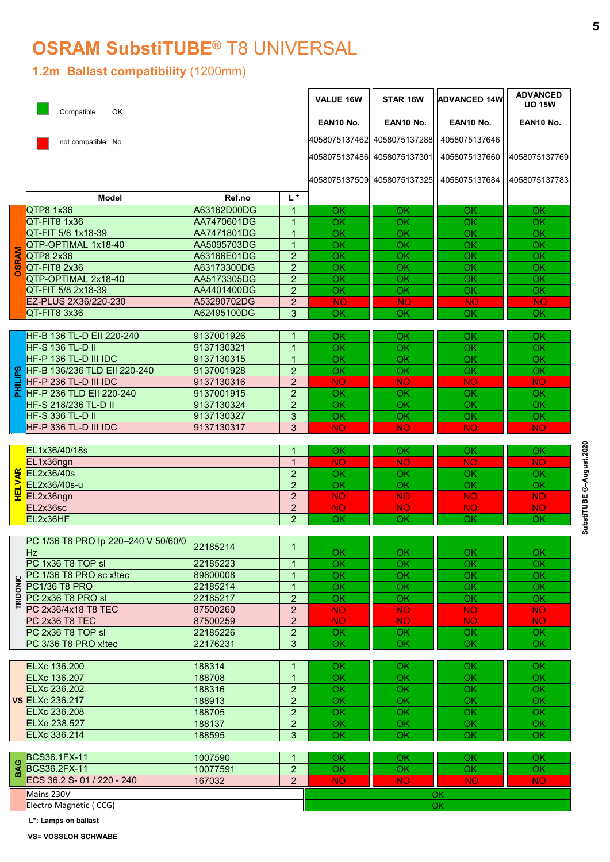## OSRAM SubstiTUBE® T8 UNIVERSAL

#### 1.2m Ballast compatibility (1200mm)

| VALUE 16W<br>STAR 16W<br><b>ADVANCED 14W</b><br><b>UO 15W</b><br>Compatible<br>OK<br>EAN10 No.<br>EAN10 No.<br>EAN10 No.<br>EAN10 No.<br>4058075137462 4058075137288<br>4058075137646<br>not compatible No<br>4058075137486 4058075137301<br>4058075137660<br>4058075137509 4058075137325<br>4058075137684<br>$L^*$<br>Model<br>Ref.no<br>QTP8 1x36<br>A63162D00DG<br>$\overline{1}$<br><b>OK</b><br>OK<br>OK<br>OK<br>QT-FIT8 1x36<br>AA7470601DG<br>$\overline{1}$<br><b>OK</b><br><b>OK</b><br>OK<br>OK<br>QT-FIT 5/8 1x18-39<br>AA7471801DG<br>$\overline{1}$<br><b>OK</b><br><b>OK</b><br>OK<br>OK<br>QTP-OPTIMAL 1x18-40<br>AA5095703DG<br>$\overline{1}$<br>OK<br>OK<br>OK<br>OK<br><b>SRAM</b><br>A63166E01DG<br>$\overline{2}$<br>QTP8 2x36<br>OK<br>OK<br>OK<br>OK<br>QT-FIT8 2x36<br>$\overline{2}$<br>A63173300DG<br><b>OK</b><br><b>OK</b><br>OK<br>OK<br>O<br>$\overline{2}$<br>QTP-OPTIMAL 2x18-40<br>AA5173305DG<br><b>OK</b><br>OK<br><b>OK</b><br>OK<br>$\overline{2}$<br>OK<br>QT-FIT 5/8 2x18-39<br>AA4401400DG<br>OK<br>OK<br>$\mathsf{OK}% _{\mathsf{CL}}\times\mathsf{CK}_{\mathsf{CL}}^{\mathsf{CL}}(\mathsf{CL})$<br>EZ-PLUS 2X36/220-230<br>A53290702DG<br><b>NO</b><br>$\overline{2}$<br><b>NO</b><br><b>NO</b><br>NO <sub>1</sub><br>QT-FIT8 3x36<br>A62495100DG<br>$\mathbf{3}$<br>OK<br>OK<br>OK<br><b>OK</b><br>9137001926<br>HF-B 136 TL-D EII 220-240<br>OK<br>-1<br>OK<br>OK<br><b>OK</b><br>9137130321<br>OK<br><b>HF-S 136 TL-D II</b><br>OK<br>OK<br>OK<br>$\overline{1}$<br>9137130315<br>HF-P 136 TL-D III IDC<br>OK<br>$\overline{1}$<br>OK<br>OK<br>OK<br><b>8</b> HF-B 136/236 TLD EII 220-240<br>HF-P 236 TL-D III IDC<br>HF-P 236 TLD EII 220-240<br>$\overline{2}$<br>9137001928<br>OK<br>OK<br>OK<br>OK<br>9137130316<br>$2^{\circ}$<br><b>NO</b><br><b>NO</b><br><b>NO</b><br><b>NO</b><br>9137001915<br>$\overline{2}$<br>OK<br>OK<br>OK<br>OK<br>OK<br>HF-S 218/236 TL-D II<br>9137130324<br>2 <sup>1</sup><br>OK<br>OK<br>OK<br><b>HF-S 336 TL-D II</b><br>OK<br>OK<br>9137130327<br>$\mathbf{3}$<br>OK<br>OK<br><b>NO</b><br>HF-P 336 TL-D III IDC<br>3 <sup>1</sup><br><b>NO</b><br><b>NO</b><br>9137130317<br><b>NO</b><br>EL1x36/40/18s<br>OK.<br>OK<br>OK.<br><b>OK</b><br>$\overline{1}$<br>EL1x36ngn<br>$\overline{1}$<br><b>NO</b><br><b>NO</b><br><b>NO</b><br><b>NO</b><br><b>LVAR</b><br>EL2x36/40s<br>$\overline{2}$<br>OK<br>OK<br>OK.<br>OK<br>EL2x36/40s-u<br>$\overline{2}$<br>OK<br>OK<br>OK<br>OK<br>뿦<br>EL2x36ngn<br>$2^{\circ}$<br><b>NO</b><br><b>NO</b><br><b>NO</b><br>NO.<br>EL2x36sc<br>$\overline{2}$<br><b>NO</b><br><b>NO</b><br><b>NO</b><br><b>NO</b><br>EL2x36HF<br>$\overline{2}$<br>OK<br><b>OK</b><br>OK<br>OK<br>PC 1/36 T8 PRO Ip 220-240 V 50/60/0<br>22185214<br>$\overline{1}$<br>Hz<br>OK<br>OK<br><b>OK</b><br><b>OK</b><br>PC 1x36 T8 TOP sl<br>$\overline{OK}$<br>$\overline{OK}$<br>22185223<br>OK<br>OK<br>$\overline{1}$<br>PC 1/36 T8 PRO sc x!tec<br>89800008<br>OK<br><b>OK</b><br>OK<br>OK<br>$\overline{1}$<br>TRIDONIC<br>22185214<br>OK<br>OK<br>PC1/36 T8 PRO<br>$\overline{1}$<br>OK<br>OK<br>OK<br>PC 2x36 T8 PRO sl<br>22185217<br>2 <sup>1</sup><br>OK<br>OK<br>OK<br>PC 2x36/4x18 T8 TEC<br>87500260<br>2 <sup>1</sup><br><b>NO</b><br><b>NO</b><br>NO.<br><b>NO</b><br>87500259<br>PC 2x36 T8 TEC<br>2 <sup>1</sup><br><b>NO</b><br><b>NO</b><br><b>NO</b><br><b>NO</b><br>22185226<br>PC 2x36 T8 TOP sl<br>2 <sup>1</sup><br>OK<br>OK<br>OK.<br>OK<br>$\overline{OK}$<br>$\overline{OK}$<br>$\overline{OK}$<br>PC 3/36 T8 PRO x!tec<br>$\overline{OK}$<br>22176231<br>3 <sup>1</sup><br><b>ELXc 136.200</b><br>188314<br>$\overline{1}$<br>OK<br>OK<br>OK<br>OK<br>ELXc 136.207<br>188708<br>$\overline{OK}$<br>$\overline{OK}$<br>$\overline{OK}$<br>$\overline{1}$<br>OK<br>2 <sup>1</sup><br>ELXc 236.202<br>188316<br>OK<br>OK<br>OK<br>OK<br><b>VS ELXc 236.217</b><br>$\overline{2}$<br>188913<br>OK<br>OK<br>OK<br>OK<br>ELXc 236.208<br>188705<br>$\overline{2}$<br>OK<br>OK<br>OK<br>OK<br><b>ELXe 238.527</b><br>2 <sup>1</sup><br>188137<br>OK<br><b>OK</b><br>OK<br>OK<br>$\overline{\mathsf{OK}}$<br>ELXc 336.214<br>OK<br>188595<br>$\mathbf{3}$<br>OK<br>OK<br>1007590<br>OK<br>OK<br>BCS36.1FX-11<br>OK<br>OK<br>$\overline{1}$<br>BAG<br><b>BCS36.2FX-11</b><br>10077591<br>$\overline{2}$<br>OK<br>OK<br>OK<br>OK<br>ECS 36.2 S-01 / 220 - 240<br>$\overline{2}$<br><b>NO</b><br><b>NO</b><br><b>NO</b><br>167032<br><b>NO</b><br>Mains 230V<br>OK<br>Electro Magnetic (CCG)<br>OK<br>L*: Lamps on ballast |  |  |  |                 |
|----------------------------------------------------------------------------------------------------------------------------------------------------------------------------------------------------------------------------------------------------------------------------------------------------------------------------------------------------------------------------------------------------------------------------------------------------------------------------------------------------------------------------------------------------------------------------------------------------------------------------------------------------------------------------------------------------------------------------------------------------------------------------------------------------------------------------------------------------------------------------------------------------------------------------------------------------------------------------------------------------------------------------------------------------------------------------------------------------------------------------------------------------------------------------------------------------------------------------------------------------------------------------------------------------------------------------------------------------------------------------------------------------------------------------------------------------------------------------------------------------------------------------------------------------------------------------------------------------------------------------------------------------------------------------------------------------------------------------------------------------------------------------------------------------------------------------------------------------------------------------------------------------------------------------------------------------------------------------------------------------------------------------------------------------------------------------------------------------------------------------------------------------------------------------------------------------------------------------------------------------------------------------------------------------------------------------------------------------------------------------------------------------------------------------------------------------------------------------------------------------------------------------------------------------------------------------------------------------------------------------------------------------------------------------------------------------------------------------------------------------------------------------------------------------------------------------------------------------------------------------------------------------------------------------------------------------------------------------------------------------------------------------------------------------------------------------------------------------------------------------------------------------------------------------------------------------------------------------------------------------------------------------------------------------------------------------------------------------------------------------------------------------------------------------------------------------------------------------------------------------------------------------------------------------------------------------------------------------------------------------------------------------------------------------------------------------------------------------------------------------------------------------------------------------------------------------------------------------------------------------------------------------------------------------------------------------------------------------------------------------------------------------------------------------------------------------------------------------------------------------------------------------------------------------------------------------------------------------------------------------------------------------------------------------------------------------------------------------------------------------------------------------------------------------------------------------------------------------------------------------------------------------------------------|--|--|--|-----------------|
|                                                                                                                                                                                                                                                                                                                                                                                                                                                                                                                                                                                                                                                                                                                                                                                                                                                                                                                                                                                                                                                                                                                                                                                                                                                                                                                                                                                                                                                                                                                                                                                                                                                                                                                                                                                                                                                                                                                                                                                                                                                                                                                                                                                                                                                                                                                                                                                                                                                                                                                                                                                                                                                                                                                                                                                                                                                                                                                                                                                                                                                                                                                                                                                                                                                                                                                                                                                                                                                                                                                                                                                                                                                                                                                                                                                                                                                                                                                                                                                                                                                                                                                                                                                                                                                                                                                                                                                                                                                                                                                                              |  |  |  | <b>ADVANCED</b> |
|                                                                                                                                                                                                                                                                                                                                                                                                                                                                                                                                                                                                                                                                                                                                                                                                                                                                                                                                                                                                                                                                                                                                                                                                                                                                                                                                                                                                                                                                                                                                                                                                                                                                                                                                                                                                                                                                                                                                                                                                                                                                                                                                                                                                                                                                                                                                                                                                                                                                                                                                                                                                                                                                                                                                                                                                                                                                                                                                                                                                                                                                                                                                                                                                                                                                                                                                                                                                                                                                                                                                                                                                                                                                                                                                                                                                                                                                                                                                                                                                                                                                                                                                                                                                                                                                                                                                                                                                                                                                                                                                              |  |  |  | 4058075137769   |
|                                                                                                                                                                                                                                                                                                                                                                                                                                                                                                                                                                                                                                                                                                                                                                                                                                                                                                                                                                                                                                                                                                                                                                                                                                                                                                                                                                                                                                                                                                                                                                                                                                                                                                                                                                                                                                                                                                                                                                                                                                                                                                                                                                                                                                                                                                                                                                                                                                                                                                                                                                                                                                                                                                                                                                                                                                                                                                                                                                                                                                                                                                                                                                                                                                                                                                                                                                                                                                                                                                                                                                                                                                                                                                                                                                                                                                                                                                                                                                                                                                                                                                                                                                                                                                                                                                                                                                                                                                                                                                                                              |  |  |  | 4058075137783   |
|                                                                                                                                                                                                                                                                                                                                                                                                                                                                                                                                                                                                                                                                                                                                                                                                                                                                                                                                                                                                                                                                                                                                                                                                                                                                                                                                                                                                                                                                                                                                                                                                                                                                                                                                                                                                                                                                                                                                                                                                                                                                                                                                                                                                                                                                                                                                                                                                                                                                                                                                                                                                                                                                                                                                                                                                                                                                                                                                                                                                                                                                                                                                                                                                                                                                                                                                                                                                                                                                                                                                                                                                                                                                                                                                                                                                                                                                                                                                                                                                                                                                                                                                                                                                                                                                                                                                                                                                                                                                                                                                              |  |  |  |                 |
|                                                                                                                                                                                                                                                                                                                                                                                                                                                                                                                                                                                                                                                                                                                                                                                                                                                                                                                                                                                                                                                                                                                                                                                                                                                                                                                                                                                                                                                                                                                                                                                                                                                                                                                                                                                                                                                                                                                                                                                                                                                                                                                                                                                                                                                                                                                                                                                                                                                                                                                                                                                                                                                                                                                                                                                                                                                                                                                                                                                                                                                                                                                                                                                                                                                                                                                                                                                                                                                                                                                                                                                                                                                                                                                                                                                                                                                                                                                                                                                                                                                                                                                                                                                                                                                                                                                                                                                                                                                                                                                                              |  |  |  |                 |
|                                                                                                                                                                                                                                                                                                                                                                                                                                                                                                                                                                                                                                                                                                                                                                                                                                                                                                                                                                                                                                                                                                                                                                                                                                                                                                                                                                                                                                                                                                                                                                                                                                                                                                                                                                                                                                                                                                                                                                                                                                                                                                                                                                                                                                                                                                                                                                                                                                                                                                                                                                                                                                                                                                                                                                                                                                                                                                                                                                                                                                                                                                                                                                                                                                                                                                                                                                                                                                                                                                                                                                                                                                                                                                                                                                                                                                                                                                                                                                                                                                                                                                                                                                                                                                                                                                                                                                                                                                                                                                                                              |  |  |  |                 |
|                                                                                                                                                                                                                                                                                                                                                                                                                                                                                                                                                                                                                                                                                                                                                                                                                                                                                                                                                                                                                                                                                                                                                                                                                                                                                                                                                                                                                                                                                                                                                                                                                                                                                                                                                                                                                                                                                                                                                                                                                                                                                                                                                                                                                                                                                                                                                                                                                                                                                                                                                                                                                                                                                                                                                                                                                                                                                                                                                                                                                                                                                                                                                                                                                                                                                                                                                                                                                                                                                                                                                                                                                                                                                                                                                                                                                                                                                                                                                                                                                                                                                                                                                                                                                                                                                                                                                                                                                                                                                                                                              |  |  |  |                 |
|                                                                                                                                                                                                                                                                                                                                                                                                                                                                                                                                                                                                                                                                                                                                                                                                                                                                                                                                                                                                                                                                                                                                                                                                                                                                                                                                                                                                                                                                                                                                                                                                                                                                                                                                                                                                                                                                                                                                                                                                                                                                                                                                                                                                                                                                                                                                                                                                                                                                                                                                                                                                                                                                                                                                                                                                                                                                                                                                                                                                                                                                                                                                                                                                                                                                                                                                                                                                                                                                                                                                                                                                                                                                                                                                                                                                                                                                                                                                                                                                                                                                                                                                                                                                                                                                                                                                                                                                                                                                                                                                              |  |  |  |                 |
|                                                                                                                                                                                                                                                                                                                                                                                                                                                                                                                                                                                                                                                                                                                                                                                                                                                                                                                                                                                                                                                                                                                                                                                                                                                                                                                                                                                                                                                                                                                                                                                                                                                                                                                                                                                                                                                                                                                                                                                                                                                                                                                                                                                                                                                                                                                                                                                                                                                                                                                                                                                                                                                                                                                                                                                                                                                                                                                                                                                                                                                                                                                                                                                                                                                                                                                                                                                                                                                                                                                                                                                                                                                                                                                                                                                                                                                                                                                                                                                                                                                                                                                                                                                                                                                                                                                                                                                                                                                                                                                                              |  |  |  |                 |
|                                                                                                                                                                                                                                                                                                                                                                                                                                                                                                                                                                                                                                                                                                                                                                                                                                                                                                                                                                                                                                                                                                                                                                                                                                                                                                                                                                                                                                                                                                                                                                                                                                                                                                                                                                                                                                                                                                                                                                                                                                                                                                                                                                                                                                                                                                                                                                                                                                                                                                                                                                                                                                                                                                                                                                                                                                                                                                                                                                                                                                                                                                                                                                                                                                                                                                                                                                                                                                                                                                                                                                                                                                                                                                                                                                                                                                                                                                                                                                                                                                                                                                                                                                                                                                                                                                                                                                                                                                                                                                                                              |  |  |  |                 |
|                                                                                                                                                                                                                                                                                                                                                                                                                                                                                                                                                                                                                                                                                                                                                                                                                                                                                                                                                                                                                                                                                                                                                                                                                                                                                                                                                                                                                                                                                                                                                                                                                                                                                                                                                                                                                                                                                                                                                                                                                                                                                                                                                                                                                                                                                                                                                                                                                                                                                                                                                                                                                                                                                                                                                                                                                                                                                                                                                                                                                                                                                                                                                                                                                                                                                                                                                                                                                                                                                                                                                                                                                                                                                                                                                                                                                                                                                                                                                                                                                                                                                                                                                                                                                                                                                                                                                                                                                                                                                                                                              |  |  |  |                 |
|                                                                                                                                                                                                                                                                                                                                                                                                                                                                                                                                                                                                                                                                                                                                                                                                                                                                                                                                                                                                                                                                                                                                                                                                                                                                                                                                                                                                                                                                                                                                                                                                                                                                                                                                                                                                                                                                                                                                                                                                                                                                                                                                                                                                                                                                                                                                                                                                                                                                                                                                                                                                                                                                                                                                                                                                                                                                                                                                                                                                                                                                                                                                                                                                                                                                                                                                                                                                                                                                                                                                                                                                                                                                                                                                                                                                                                                                                                                                                                                                                                                                                                                                                                                                                                                                                                                                                                                                                                                                                                                                              |  |  |  |                 |
|                                                                                                                                                                                                                                                                                                                                                                                                                                                                                                                                                                                                                                                                                                                                                                                                                                                                                                                                                                                                                                                                                                                                                                                                                                                                                                                                                                                                                                                                                                                                                                                                                                                                                                                                                                                                                                                                                                                                                                                                                                                                                                                                                                                                                                                                                                                                                                                                                                                                                                                                                                                                                                                                                                                                                                                                                                                                                                                                                                                                                                                                                                                                                                                                                                                                                                                                                                                                                                                                                                                                                                                                                                                                                                                                                                                                                                                                                                                                                                                                                                                                                                                                                                                                                                                                                                                                                                                                                                                                                                                                              |  |  |  |                 |
|                                                                                                                                                                                                                                                                                                                                                                                                                                                                                                                                                                                                                                                                                                                                                                                                                                                                                                                                                                                                                                                                                                                                                                                                                                                                                                                                                                                                                                                                                                                                                                                                                                                                                                                                                                                                                                                                                                                                                                                                                                                                                                                                                                                                                                                                                                                                                                                                                                                                                                                                                                                                                                                                                                                                                                                                                                                                                                                                                                                                                                                                                                                                                                                                                                                                                                                                                                                                                                                                                                                                                                                                                                                                                                                                                                                                                                                                                                                                                                                                                                                                                                                                                                                                                                                                                                                                                                                                                                                                                                                                              |  |  |  |                 |
|                                                                                                                                                                                                                                                                                                                                                                                                                                                                                                                                                                                                                                                                                                                                                                                                                                                                                                                                                                                                                                                                                                                                                                                                                                                                                                                                                                                                                                                                                                                                                                                                                                                                                                                                                                                                                                                                                                                                                                                                                                                                                                                                                                                                                                                                                                                                                                                                                                                                                                                                                                                                                                                                                                                                                                                                                                                                                                                                                                                                                                                                                                                                                                                                                                                                                                                                                                                                                                                                                                                                                                                                                                                                                                                                                                                                                                                                                                                                                                                                                                                                                                                                                                                                                                                                                                                                                                                                                                                                                                                                              |  |  |  |                 |
|                                                                                                                                                                                                                                                                                                                                                                                                                                                                                                                                                                                                                                                                                                                                                                                                                                                                                                                                                                                                                                                                                                                                                                                                                                                                                                                                                                                                                                                                                                                                                                                                                                                                                                                                                                                                                                                                                                                                                                                                                                                                                                                                                                                                                                                                                                                                                                                                                                                                                                                                                                                                                                                                                                                                                                                                                                                                                                                                                                                                                                                                                                                                                                                                                                                                                                                                                                                                                                                                                                                                                                                                                                                                                                                                                                                                                                                                                                                                                                                                                                                                                                                                                                                                                                                                                                                                                                                                                                                                                                                                              |  |  |  |                 |
|                                                                                                                                                                                                                                                                                                                                                                                                                                                                                                                                                                                                                                                                                                                                                                                                                                                                                                                                                                                                                                                                                                                                                                                                                                                                                                                                                                                                                                                                                                                                                                                                                                                                                                                                                                                                                                                                                                                                                                                                                                                                                                                                                                                                                                                                                                                                                                                                                                                                                                                                                                                                                                                                                                                                                                                                                                                                                                                                                                                                                                                                                                                                                                                                                                                                                                                                                                                                                                                                                                                                                                                                                                                                                                                                                                                                                                                                                                                                                                                                                                                                                                                                                                                                                                                                                                                                                                                                                                                                                                                                              |  |  |  |                 |
|                                                                                                                                                                                                                                                                                                                                                                                                                                                                                                                                                                                                                                                                                                                                                                                                                                                                                                                                                                                                                                                                                                                                                                                                                                                                                                                                                                                                                                                                                                                                                                                                                                                                                                                                                                                                                                                                                                                                                                                                                                                                                                                                                                                                                                                                                                                                                                                                                                                                                                                                                                                                                                                                                                                                                                                                                                                                                                                                                                                                                                                                                                                                                                                                                                                                                                                                                                                                                                                                                                                                                                                                                                                                                                                                                                                                                                                                                                                                                                                                                                                                                                                                                                                                                                                                                                                                                                                                                                                                                                                                              |  |  |  |                 |
|                                                                                                                                                                                                                                                                                                                                                                                                                                                                                                                                                                                                                                                                                                                                                                                                                                                                                                                                                                                                                                                                                                                                                                                                                                                                                                                                                                                                                                                                                                                                                                                                                                                                                                                                                                                                                                                                                                                                                                                                                                                                                                                                                                                                                                                                                                                                                                                                                                                                                                                                                                                                                                                                                                                                                                                                                                                                                                                                                                                                                                                                                                                                                                                                                                                                                                                                                                                                                                                                                                                                                                                                                                                                                                                                                                                                                                                                                                                                                                                                                                                                                                                                                                                                                                                                                                                                                                                                                                                                                                                                              |  |  |  |                 |
|                                                                                                                                                                                                                                                                                                                                                                                                                                                                                                                                                                                                                                                                                                                                                                                                                                                                                                                                                                                                                                                                                                                                                                                                                                                                                                                                                                                                                                                                                                                                                                                                                                                                                                                                                                                                                                                                                                                                                                                                                                                                                                                                                                                                                                                                                                                                                                                                                                                                                                                                                                                                                                                                                                                                                                                                                                                                                                                                                                                                                                                                                                                                                                                                                                                                                                                                                                                                                                                                                                                                                                                                                                                                                                                                                                                                                                                                                                                                                                                                                                                                                                                                                                                                                                                                                                                                                                                                                                                                                                                                              |  |  |  |                 |
|                                                                                                                                                                                                                                                                                                                                                                                                                                                                                                                                                                                                                                                                                                                                                                                                                                                                                                                                                                                                                                                                                                                                                                                                                                                                                                                                                                                                                                                                                                                                                                                                                                                                                                                                                                                                                                                                                                                                                                                                                                                                                                                                                                                                                                                                                                                                                                                                                                                                                                                                                                                                                                                                                                                                                                                                                                                                                                                                                                                                                                                                                                                                                                                                                                                                                                                                                                                                                                                                                                                                                                                                                                                                                                                                                                                                                                                                                                                                                                                                                                                                                                                                                                                                                                                                                                                                                                                                                                                                                                                                              |  |  |  |                 |
|                                                                                                                                                                                                                                                                                                                                                                                                                                                                                                                                                                                                                                                                                                                                                                                                                                                                                                                                                                                                                                                                                                                                                                                                                                                                                                                                                                                                                                                                                                                                                                                                                                                                                                                                                                                                                                                                                                                                                                                                                                                                                                                                                                                                                                                                                                                                                                                                                                                                                                                                                                                                                                                                                                                                                                                                                                                                                                                                                                                                                                                                                                                                                                                                                                                                                                                                                                                                                                                                                                                                                                                                                                                                                                                                                                                                                                                                                                                                                                                                                                                                                                                                                                                                                                                                                                                                                                                                                                                                                                                                              |  |  |  |                 |
|                                                                                                                                                                                                                                                                                                                                                                                                                                                                                                                                                                                                                                                                                                                                                                                                                                                                                                                                                                                                                                                                                                                                                                                                                                                                                                                                                                                                                                                                                                                                                                                                                                                                                                                                                                                                                                                                                                                                                                                                                                                                                                                                                                                                                                                                                                                                                                                                                                                                                                                                                                                                                                                                                                                                                                                                                                                                                                                                                                                                                                                                                                                                                                                                                                                                                                                                                                                                                                                                                                                                                                                                                                                                                                                                                                                                                                                                                                                                                                                                                                                                                                                                                                                                                                                                                                                                                                                                                                                                                                                                              |  |  |  |                 |
|                                                                                                                                                                                                                                                                                                                                                                                                                                                                                                                                                                                                                                                                                                                                                                                                                                                                                                                                                                                                                                                                                                                                                                                                                                                                                                                                                                                                                                                                                                                                                                                                                                                                                                                                                                                                                                                                                                                                                                                                                                                                                                                                                                                                                                                                                                                                                                                                                                                                                                                                                                                                                                                                                                                                                                                                                                                                                                                                                                                                                                                                                                                                                                                                                                                                                                                                                                                                                                                                                                                                                                                                                                                                                                                                                                                                                                                                                                                                                                                                                                                                                                                                                                                                                                                                                                                                                                                                                                                                                                                                              |  |  |  |                 |
|                                                                                                                                                                                                                                                                                                                                                                                                                                                                                                                                                                                                                                                                                                                                                                                                                                                                                                                                                                                                                                                                                                                                                                                                                                                                                                                                                                                                                                                                                                                                                                                                                                                                                                                                                                                                                                                                                                                                                                                                                                                                                                                                                                                                                                                                                                                                                                                                                                                                                                                                                                                                                                                                                                                                                                                                                                                                                                                                                                                                                                                                                                                                                                                                                                                                                                                                                                                                                                                                                                                                                                                                                                                                                                                                                                                                                                                                                                                                                                                                                                                                                                                                                                                                                                                                                                                                                                                                                                                                                                                                              |  |  |  |                 |
|                                                                                                                                                                                                                                                                                                                                                                                                                                                                                                                                                                                                                                                                                                                                                                                                                                                                                                                                                                                                                                                                                                                                                                                                                                                                                                                                                                                                                                                                                                                                                                                                                                                                                                                                                                                                                                                                                                                                                                                                                                                                                                                                                                                                                                                                                                                                                                                                                                                                                                                                                                                                                                                                                                                                                                                                                                                                                                                                                                                                                                                                                                                                                                                                                                                                                                                                                                                                                                                                                                                                                                                                                                                                                                                                                                                                                                                                                                                                                                                                                                                                                                                                                                                                                                                                                                                                                                                                                                                                                                                                              |  |  |  |                 |
|                                                                                                                                                                                                                                                                                                                                                                                                                                                                                                                                                                                                                                                                                                                                                                                                                                                                                                                                                                                                                                                                                                                                                                                                                                                                                                                                                                                                                                                                                                                                                                                                                                                                                                                                                                                                                                                                                                                                                                                                                                                                                                                                                                                                                                                                                                                                                                                                                                                                                                                                                                                                                                                                                                                                                                                                                                                                                                                                                                                                                                                                                                                                                                                                                                                                                                                                                                                                                                                                                                                                                                                                                                                                                                                                                                                                                                                                                                                                                                                                                                                                                                                                                                                                                                                                                                                                                                                                                                                                                                                                              |  |  |  |                 |
|                                                                                                                                                                                                                                                                                                                                                                                                                                                                                                                                                                                                                                                                                                                                                                                                                                                                                                                                                                                                                                                                                                                                                                                                                                                                                                                                                                                                                                                                                                                                                                                                                                                                                                                                                                                                                                                                                                                                                                                                                                                                                                                                                                                                                                                                                                                                                                                                                                                                                                                                                                                                                                                                                                                                                                                                                                                                                                                                                                                                                                                                                                                                                                                                                                                                                                                                                                                                                                                                                                                                                                                                                                                                                                                                                                                                                                                                                                                                                                                                                                                                                                                                                                                                                                                                                                                                                                                                                                                                                                                                              |  |  |  |                 |
|                                                                                                                                                                                                                                                                                                                                                                                                                                                                                                                                                                                                                                                                                                                                                                                                                                                                                                                                                                                                                                                                                                                                                                                                                                                                                                                                                                                                                                                                                                                                                                                                                                                                                                                                                                                                                                                                                                                                                                                                                                                                                                                                                                                                                                                                                                                                                                                                                                                                                                                                                                                                                                                                                                                                                                                                                                                                                                                                                                                                                                                                                                                                                                                                                                                                                                                                                                                                                                                                                                                                                                                                                                                                                                                                                                                                                                                                                                                                                                                                                                                                                                                                                                                                                                                                                                                                                                                                                                                                                                                                              |  |  |  |                 |
|                                                                                                                                                                                                                                                                                                                                                                                                                                                                                                                                                                                                                                                                                                                                                                                                                                                                                                                                                                                                                                                                                                                                                                                                                                                                                                                                                                                                                                                                                                                                                                                                                                                                                                                                                                                                                                                                                                                                                                                                                                                                                                                                                                                                                                                                                                                                                                                                                                                                                                                                                                                                                                                                                                                                                                                                                                                                                                                                                                                                                                                                                                                                                                                                                                                                                                                                                                                                                                                                                                                                                                                                                                                                                                                                                                                                                                                                                                                                                                                                                                                                                                                                                                                                                                                                                                                                                                                                                                                                                                                                              |  |  |  |                 |
|                                                                                                                                                                                                                                                                                                                                                                                                                                                                                                                                                                                                                                                                                                                                                                                                                                                                                                                                                                                                                                                                                                                                                                                                                                                                                                                                                                                                                                                                                                                                                                                                                                                                                                                                                                                                                                                                                                                                                                                                                                                                                                                                                                                                                                                                                                                                                                                                                                                                                                                                                                                                                                                                                                                                                                                                                                                                                                                                                                                                                                                                                                                                                                                                                                                                                                                                                                                                                                                                                                                                                                                                                                                                                                                                                                                                                                                                                                                                                                                                                                                                                                                                                                                                                                                                                                                                                                                                                                                                                                                                              |  |  |  |                 |
|                                                                                                                                                                                                                                                                                                                                                                                                                                                                                                                                                                                                                                                                                                                                                                                                                                                                                                                                                                                                                                                                                                                                                                                                                                                                                                                                                                                                                                                                                                                                                                                                                                                                                                                                                                                                                                                                                                                                                                                                                                                                                                                                                                                                                                                                                                                                                                                                                                                                                                                                                                                                                                                                                                                                                                                                                                                                                                                                                                                                                                                                                                                                                                                                                                                                                                                                                                                                                                                                                                                                                                                                                                                                                                                                                                                                                                                                                                                                                                                                                                                                                                                                                                                                                                                                                                                                                                                                                                                                                                                                              |  |  |  |                 |
|                                                                                                                                                                                                                                                                                                                                                                                                                                                                                                                                                                                                                                                                                                                                                                                                                                                                                                                                                                                                                                                                                                                                                                                                                                                                                                                                                                                                                                                                                                                                                                                                                                                                                                                                                                                                                                                                                                                                                                                                                                                                                                                                                                                                                                                                                                                                                                                                                                                                                                                                                                                                                                                                                                                                                                                                                                                                                                                                                                                                                                                                                                                                                                                                                                                                                                                                                                                                                                                                                                                                                                                                                                                                                                                                                                                                                                                                                                                                                                                                                                                                                                                                                                                                                                                                                                                                                                                                                                                                                                                                              |  |  |  |                 |
|                                                                                                                                                                                                                                                                                                                                                                                                                                                                                                                                                                                                                                                                                                                                                                                                                                                                                                                                                                                                                                                                                                                                                                                                                                                                                                                                                                                                                                                                                                                                                                                                                                                                                                                                                                                                                                                                                                                                                                                                                                                                                                                                                                                                                                                                                                                                                                                                                                                                                                                                                                                                                                                                                                                                                                                                                                                                                                                                                                                                                                                                                                                                                                                                                                                                                                                                                                                                                                                                                                                                                                                                                                                                                                                                                                                                                                                                                                                                                                                                                                                                                                                                                                                                                                                                                                                                                                                                                                                                                                                                              |  |  |  |                 |
|                                                                                                                                                                                                                                                                                                                                                                                                                                                                                                                                                                                                                                                                                                                                                                                                                                                                                                                                                                                                                                                                                                                                                                                                                                                                                                                                                                                                                                                                                                                                                                                                                                                                                                                                                                                                                                                                                                                                                                                                                                                                                                                                                                                                                                                                                                                                                                                                                                                                                                                                                                                                                                                                                                                                                                                                                                                                                                                                                                                                                                                                                                                                                                                                                                                                                                                                                                                                                                                                                                                                                                                                                                                                                                                                                                                                                                                                                                                                                                                                                                                                                                                                                                                                                                                                                                                                                                                                                                                                                                                                              |  |  |  |                 |
|                                                                                                                                                                                                                                                                                                                                                                                                                                                                                                                                                                                                                                                                                                                                                                                                                                                                                                                                                                                                                                                                                                                                                                                                                                                                                                                                                                                                                                                                                                                                                                                                                                                                                                                                                                                                                                                                                                                                                                                                                                                                                                                                                                                                                                                                                                                                                                                                                                                                                                                                                                                                                                                                                                                                                                                                                                                                                                                                                                                                                                                                                                                                                                                                                                                                                                                                                                                                                                                                                                                                                                                                                                                                                                                                                                                                                                                                                                                                                                                                                                                                                                                                                                                                                                                                                                                                                                                                                                                                                                                                              |  |  |  |                 |
|                                                                                                                                                                                                                                                                                                                                                                                                                                                                                                                                                                                                                                                                                                                                                                                                                                                                                                                                                                                                                                                                                                                                                                                                                                                                                                                                                                                                                                                                                                                                                                                                                                                                                                                                                                                                                                                                                                                                                                                                                                                                                                                                                                                                                                                                                                                                                                                                                                                                                                                                                                                                                                                                                                                                                                                                                                                                                                                                                                                                                                                                                                                                                                                                                                                                                                                                                                                                                                                                                                                                                                                                                                                                                                                                                                                                                                                                                                                                                                                                                                                                                                                                                                                                                                                                                                                                                                                                                                                                                                                                              |  |  |  |                 |
|                                                                                                                                                                                                                                                                                                                                                                                                                                                                                                                                                                                                                                                                                                                                                                                                                                                                                                                                                                                                                                                                                                                                                                                                                                                                                                                                                                                                                                                                                                                                                                                                                                                                                                                                                                                                                                                                                                                                                                                                                                                                                                                                                                                                                                                                                                                                                                                                                                                                                                                                                                                                                                                                                                                                                                                                                                                                                                                                                                                                                                                                                                                                                                                                                                                                                                                                                                                                                                                                                                                                                                                                                                                                                                                                                                                                                                                                                                                                                                                                                                                                                                                                                                                                                                                                                                                                                                                                                                                                                                                                              |  |  |  |                 |
|                                                                                                                                                                                                                                                                                                                                                                                                                                                                                                                                                                                                                                                                                                                                                                                                                                                                                                                                                                                                                                                                                                                                                                                                                                                                                                                                                                                                                                                                                                                                                                                                                                                                                                                                                                                                                                                                                                                                                                                                                                                                                                                                                                                                                                                                                                                                                                                                                                                                                                                                                                                                                                                                                                                                                                                                                                                                                                                                                                                                                                                                                                                                                                                                                                                                                                                                                                                                                                                                                                                                                                                                                                                                                                                                                                                                                                                                                                                                                                                                                                                                                                                                                                                                                                                                                                                                                                                                                                                                                                                                              |  |  |  |                 |
|                                                                                                                                                                                                                                                                                                                                                                                                                                                                                                                                                                                                                                                                                                                                                                                                                                                                                                                                                                                                                                                                                                                                                                                                                                                                                                                                                                                                                                                                                                                                                                                                                                                                                                                                                                                                                                                                                                                                                                                                                                                                                                                                                                                                                                                                                                                                                                                                                                                                                                                                                                                                                                                                                                                                                                                                                                                                                                                                                                                                                                                                                                                                                                                                                                                                                                                                                                                                                                                                                                                                                                                                                                                                                                                                                                                                                                                                                                                                                                                                                                                                                                                                                                                                                                                                                                                                                                                                                                                                                                                                              |  |  |  |                 |
|                                                                                                                                                                                                                                                                                                                                                                                                                                                                                                                                                                                                                                                                                                                                                                                                                                                                                                                                                                                                                                                                                                                                                                                                                                                                                                                                                                                                                                                                                                                                                                                                                                                                                                                                                                                                                                                                                                                                                                                                                                                                                                                                                                                                                                                                                                                                                                                                                                                                                                                                                                                                                                                                                                                                                                                                                                                                                                                                                                                                                                                                                                                                                                                                                                                                                                                                                                                                                                                                                                                                                                                                                                                                                                                                                                                                                                                                                                                                                                                                                                                                                                                                                                                                                                                                                                                                                                                                                                                                                                                                              |  |  |  |                 |
|                                                                                                                                                                                                                                                                                                                                                                                                                                                                                                                                                                                                                                                                                                                                                                                                                                                                                                                                                                                                                                                                                                                                                                                                                                                                                                                                                                                                                                                                                                                                                                                                                                                                                                                                                                                                                                                                                                                                                                                                                                                                                                                                                                                                                                                                                                                                                                                                                                                                                                                                                                                                                                                                                                                                                                                                                                                                                                                                                                                                                                                                                                                                                                                                                                                                                                                                                                                                                                                                                                                                                                                                                                                                                                                                                                                                                                                                                                                                                                                                                                                                                                                                                                                                                                                                                                                                                                                                                                                                                                                                              |  |  |  |                 |
|                                                                                                                                                                                                                                                                                                                                                                                                                                                                                                                                                                                                                                                                                                                                                                                                                                                                                                                                                                                                                                                                                                                                                                                                                                                                                                                                                                                                                                                                                                                                                                                                                                                                                                                                                                                                                                                                                                                                                                                                                                                                                                                                                                                                                                                                                                                                                                                                                                                                                                                                                                                                                                                                                                                                                                                                                                                                                                                                                                                                                                                                                                                                                                                                                                                                                                                                                                                                                                                                                                                                                                                                                                                                                                                                                                                                                                                                                                                                                                                                                                                                                                                                                                                                                                                                                                                                                                                                                                                                                                                                              |  |  |  |                 |
|                                                                                                                                                                                                                                                                                                                                                                                                                                                                                                                                                                                                                                                                                                                                                                                                                                                                                                                                                                                                                                                                                                                                                                                                                                                                                                                                                                                                                                                                                                                                                                                                                                                                                                                                                                                                                                                                                                                                                                                                                                                                                                                                                                                                                                                                                                                                                                                                                                                                                                                                                                                                                                                                                                                                                                                                                                                                                                                                                                                                                                                                                                                                                                                                                                                                                                                                                                                                                                                                                                                                                                                                                                                                                                                                                                                                                                                                                                                                                                                                                                                                                                                                                                                                                                                                                                                                                                                                                                                                                                                                              |  |  |  |                 |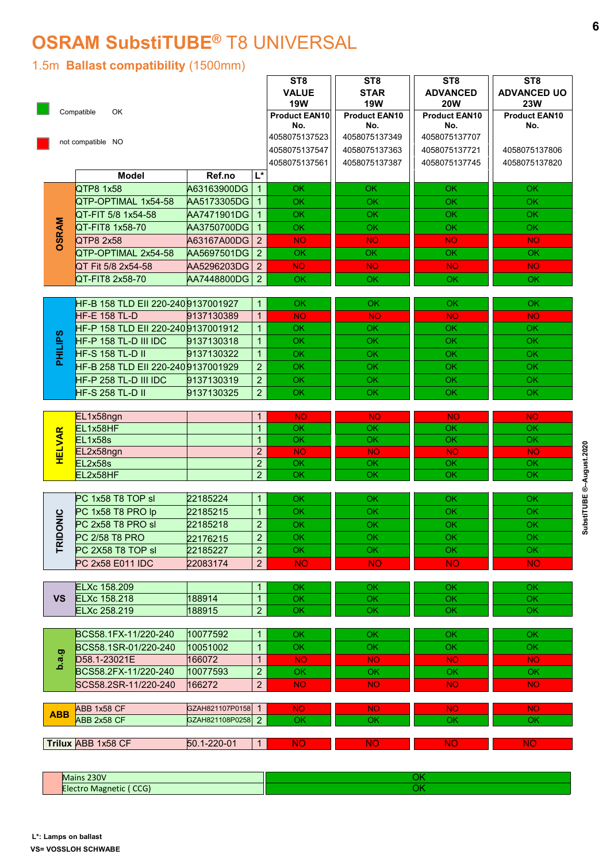## OSRAM SubstiTUBE® T8 UNIVERSAL

#### 1.5m Ballast compatibility (1500mm)

|                | 1.5m Ballast compatibility (1500mm)       |                                        |                                  | ST <sub>8</sub>                                    | <b>OSRAM SubstiTUBE® T8 UNIVERSAL</b><br>ST <sub>8</sub> | ST <sub>8</sub>                                              | ST <sub>8</sub>                                                 |
|----------------|-------------------------------------------|----------------------------------------|----------------------------------|----------------------------------------------------|----------------------------------------------------------|--------------------------------------------------------------|-----------------------------------------------------------------|
|                | Compatible<br>OK                          |                                        |                                  | <b>VALUE</b><br><b>19W</b><br>Product EAN10<br>No. | <b>STAR</b><br><b>19W</b><br><b>Product EAN10</b><br>No. | <b>ADVANCED</b><br><b>20W</b><br><b>Product EAN10</b><br>No. | <b>ADVANCED UO</b><br><b>23W</b><br><b>Product EAN10</b><br>No. |
|                | not compatible NO                         |                                        |                                  | 4058075137523<br>4058075137547<br>4058075137561    | 4058075137349<br>4058075137363<br>4058075137387          | 4058075137707<br>4058075137721<br>4058075137745              | 4058075137806<br>4058075137820                                  |
|                | <b>Model</b>                              | Ref.no                                 | L*                               |                                                    |                                                          |                                                              |                                                                 |
|                | QTP8 1x58                                 | A63163900DG                            | $\vert$ 1                        | OK                                                 | OK                                                       | <b>OK</b>                                                    | OK                                                              |
|                | QTP-OPTIMAL 1x54-58<br>QT-FIT 5/8 1x54-58 | AA5173305DG<br>AA7471901DG 1           | $\vert$ 1                        | OK<br>OK                                           | OK<br>OK                                                 | OK<br>OK                                                     | <b>OK</b><br><b>OK</b>                                          |
|                | QT-FIT8 1x58-70                           | AA3750700DG 1                          |                                  | OK                                                 | OK                                                       | OK                                                           | OK.                                                             |
| <b>OSRAM</b>   | QTP8 2x58                                 | A63167A00DG 2                          |                                  | <b>NO</b>                                          | <b>NO</b>                                                | <b>NO</b>                                                    | NO.                                                             |
|                | QTP-OPTIMAL 2x54-58                       | AA5697501DG 2                          |                                  | OK                                                 | OK                                                       | <b>OK</b>                                                    | OK                                                              |
|                | QT Fit 5/8 2x54-58                        | AA5296203DG 2                          |                                  | <b>NO</b>                                          | <b>NO</b>                                                | NO <sub>1</sub>                                              | NO.                                                             |
|                | QT-FIT8 2x58-70                           | AA7448800DG 2                          |                                  | <b>OK</b>                                          | OK.                                                      | OK                                                           | OK                                                              |
|                | HF-B 158 TLD EII 220-2409137001927   1    |                                        |                                  | OK.                                                | OK.                                                      | OK.                                                          | OK.                                                             |
|                | HF-E 158 TL-D                             | 9137130389                             | 1                                | <b>NO</b>                                          | <b>NO</b>                                                | <b>NO</b>                                                    | <b>NO</b>                                                       |
|                | HF-P 158 TLD EII 220-2409137001912        |                                        | 1 <sup>1</sup>                   | OK                                                 | OK                                                       | OK.                                                          | OK.                                                             |
|                | HF-P 158 TL-D III IDC                     | 9137130318                             | 1                                | OK                                                 | OK                                                       | OK                                                           | OK.                                                             |
| <b>PHILIPS</b> | <b>HF-S 158 TL-D II</b>                   | 9137130322                             | 1 <sup>1</sup>                   | OK                                                 | OK                                                       | OK                                                           | OK                                                              |
|                | HF-B 258 TLD EII 220-2409137001929        |                                        | 2 <sup>1</sup>                   | OK                                                 | OK                                                       | OK                                                           | OK                                                              |
|                | HF-P 258 TL-D III IDC                     | 9137130319                             | 2 <br>$\overline{2}$             | OK<br>OK                                           | OK<br>OK                                                 | OK<br>OK                                                     | OK<br><b>OK</b>                                                 |
|                | HF-S 258 TL-D II                          | 9137130325                             |                                  |                                                    |                                                          |                                                              |                                                                 |
|                | EL1x58ngn                                 |                                        | 1                                | <b>NO</b>                                          | <b>NO</b>                                                | <b>NO</b>                                                    | <b>NO</b>                                                       |
|                | EL1x58HF                                  |                                        | 1 <sup>1</sup>                   | OK                                                 | OK                                                       | OK                                                           | OK                                                              |
| <b>HELVAR</b>  | EL1x58s                                   |                                        | 1 <sup>1</sup><br>$\overline{2}$ | OK<br><b>NO</b>                                    | OK                                                       | OK                                                           | OK                                                              |
|                | EL2x58ngn<br>EL2x58s                      |                                        | $\overline{2}$                   | OK                                                 | <b>NO</b><br>OK                                          | <b>NO</b><br>OK                                              | NO <sub>1</sub><br>OK                                           |
|                | EL2x58HF                                  |                                        | $\overline{2}$                   | $\overline{OK}$                                    | OK                                                       | OK                                                           | OK                                                              |
|                |                                           |                                        |                                  |                                                    |                                                          |                                                              |                                                                 |
|                | PC 1x58 T8 TOP sl                         | 22185224                               | 1                                | OK                                                 | OK                                                       | <b>OK</b>                                                    | OK.                                                             |
| TRIDONIC       | PC 1x58 T8 PRO lp<br>PC 2x58 T8 PRO sl    | 22185215                               | $\overline{1}$<br>$\overline{2}$ | OK                                                 | OK                                                       | OK                                                           | OK                                                              |
|                | PC 2/58 T8 PRO                            | 22185218<br>22176215                   | $\overline{2}$                   | OK<br>OK                                           | <b>OK</b><br>OK                                          | OK<br>OK                                                     | <b>OK</b><br>OK.                                                |
|                | PC 2X58 T8 TOP sl                         | 22185227                               | $\overline{2}$                   | OK                                                 | OK                                                       | OK                                                           | OK                                                              |
|                | PC 2x58 E011 IDC                          | 22083174                               | $\overline{2}$                   | <b>NO</b>                                          | <b>NO</b>                                                | <b>NO</b>                                                    | <b>NO</b>                                                       |
|                |                                           |                                        |                                  |                                                    |                                                          |                                                              |                                                                 |
|                | <b>ELXc 158.209</b>                       |                                        | 1                                | OK                                                 | OK                                                       | OK                                                           | OK.                                                             |
| <b>VS</b>      | ELXc 158.218<br>ELXc 258.219              | 188914<br>188915                       | $\overline{1}$<br>$\overline{2}$ | OK<br>OK                                           | OK<br>$\overline{OK}$                                    | OK<br>OK                                                     | OK<br>OK                                                        |
|                |                                           |                                        |                                  |                                                    |                                                          |                                                              |                                                                 |
|                | BCS58.1FX-11/220-240                      | 10077592                               | 1                                | OK                                                 | OK                                                       | OK.                                                          | OK                                                              |
|                | BCS58.1SR-01/220-240                      | 10051002                               | $\overline{1}$                   | OK                                                 | OK                                                       | OK                                                           | <b>OK</b>                                                       |
| 0.a.9          | D58.1-23021E                              | 166072                                 | $\overline{1}$                   | <b>NO</b>                                          | <b>NO</b>                                                | <b>NO</b>                                                    | <b>NO</b>                                                       |
|                | BCS58.2FX-11/220-240                      | 10077593                               | $\overline{2}$                   | OK                                                 | OK                                                       | OK                                                           | OK                                                              |
|                | SCS58.2SR-11/220-240                      | 166272                                 | $\overline{2}$                   | <b>NO</b>                                          | <b>NO</b>                                                | <b>NO</b>                                                    | NO <sub>1</sub>                                                 |
| <b>ABB</b>     | ABB 1x58 CF<br>ABB 2x58 CF                | GZAH821107P0158 1<br>GZAH821108P0258 2 |                                  | <b>NO</b><br>OK                                    | NO <sub>1</sub><br>OK                                    | <b>NO</b><br>OK                                              | NO <sub>1</sub><br>OK                                           |
|                | Trilux ABB 1x58 CF                        | 50.1-220-01                            | 1                                | <b>NO</b>                                          | <b>NO</b>                                                | <b>NO</b>                                                    | <b>NO</b>                                                       |
|                |                                           |                                        |                                  |                                                    |                                                          |                                                              |                                                                 |
|                | Mains 230V                                |                                        |                                  |                                                    |                                                          | OK                                                           |                                                                 |
|                | Electro Magnetic (CCG)                    |                                        |                                  |                                                    |                                                          | $\overline{OK}$                                              |                                                                 |

| 2221<br>$\cdots$<br><b>TVL</b><br>. |  |
|-------------------------------------|--|
| $\sim$ $\sim$                       |  |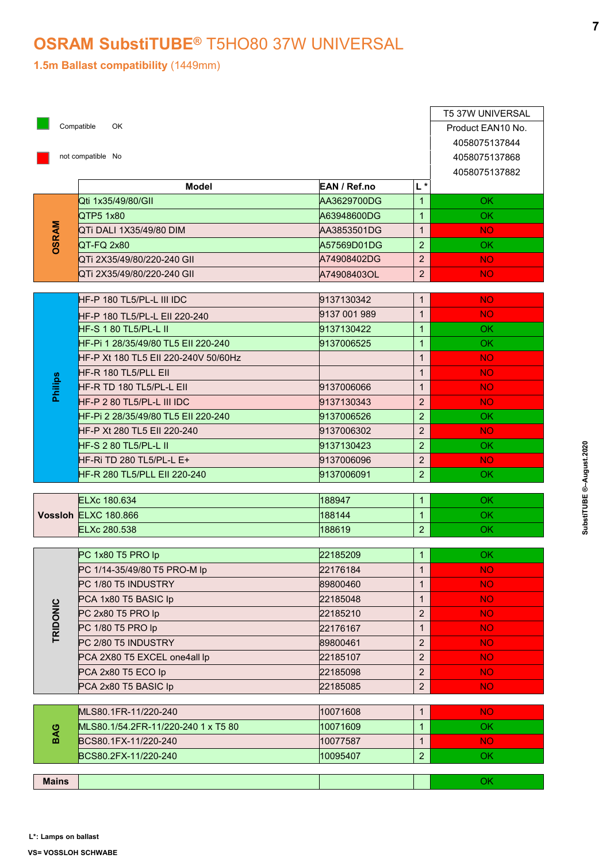#### OSRAM SubstiTUBE® T5HO80 37W UNIVERSAL

|              | Compatible<br>OK<br>not compatible No |              |                | T5 37W UNIVERSAL<br>Product EAN10 No.<br>4058075137844<br>4058075137868<br>4058075137882 |
|--------------|---------------------------------------|--------------|----------------|------------------------------------------------------------------------------------------|
|              | <b>Model</b>                          | EAN / Ref.no | L*             |                                                                                          |
|              | Qti 1x35/49/80/GII                    | AA3629700DG  | $\mathbf{1}$   | <b>OK</b>                                                                                |
|              | QTP5 1x80                             | A63948600DG  | $\mathbf{1}$   | OK                                                                                       |
|              | QTi DALI 1X35/49/80 DIM               | AA3853501DG  | $\mathbf{1}$   | NO.                                                                                      |
| OSRAM        | QT-FQ 2x80                            | A57569D01DG  | $\overline{2}$ | <b>OK</b>                                                                                |
|              | QTi 2X35/49/80/220-240 GII            | A74908402DG  | 2 <sup>2</sup> | <b>NO</b>                                                                                |
|              | QTi 2X35/49/80/220-240 GII            | A74908403OL  | 2 <sup>1</sup> | <b>NO</b>                                                                                |
|              |                                       |              |                |                                                                                          |
|              | HF-P 180 TL5/PL-L III IDC             | 9137130342   | $\mathbf{1}$   | <b>NO</b>                                                                                |
|              | HF-P 180 TL5/PL-L EII 220-240         | 9137 001 989 | $\mathbf{1}$   | NO.                                                                                      |
|              | HF-S 1 80 TL5/PL-L II                 | 9137130422   | $\mathbf{1}$   | OK.                                                                                      |
|              | HF-Pi 1 28/35/49/80 TL5 EII 220-240   | 9137006525   | $\mathbf{1}$   | OK.                                                                                      |
|              | HF-P Xt 180 TL5 EII 220-240V 50/60Hz  |              | 1              | NO.                                                                                      |
|              | HF-R 180 TL5/PLL EII                  |              | 1              | <b>NO</b>                                                                                |
| Philips      | HF-R TD 180 TL5/PL-L EII              | 9137006066   | 1              | <b>NO</b>                                                                                |
|              | HF-P 2 80 TL5/PL-L III IDC            | 9137130343   | $\overline{2}$ | NO.                                                                                      |
|              | HF-Pi 2 28/35/49/80 TL5 EII 220-240   | 9137006526   | 2 <sup>1</sup> | OK.                                                                                      |
|              | HF-P Xt 280 TL5 EII 220-240           | 9137006302   | $\overline{2}$ | <b>NO</b>                                                                                |
|              | HF-S 2 80 TL5/PL-L II                 | 9137130423   | 2 <sup>1</sup> | OK.                                                                                      |
|              | HF-Ri TD 280 TL5/PL-L E+              | 9137006096   | $2^{\circ}$    | NO.                                                                                      |
|              | HF-R 280 TL5/PLL EII 220-240          | 9137006091   | 2 <sup>1</sup> | OK.                                                                                      |
|              | ELXc 180.634                          | 188947       | $\mathbf{1}$   | OK.                                                                                      |
|              | Vossloh ELXC 180.866                  | 188144       | 1 <sub>1</sub> | OK.                                                                                      |
|              | ELXc 280.538                          | 188619       | 2 <sup>1</sup> | OK.                                                                                      |
|              |                                       |              |                |                                                                                          |
|              | PC 1x80 T5 PRO lp                     | 22185209     | $\mathbf{1}$   | OK.                                                                                      |
|              | PC 1/14-35/49/80 T5 PRO-M lp          | 22176184     | 1              | <b>NO</b>                                                                                |
|              | PC 1/80 T5 INDUSTRY                   | 89800460     | $\mathbf{1}$   | <b>NO</b>                                                                                |
|              | PCA 1x80 T5 BASIC Ip                  | 22185048     | 1              | <b>NO</b>                                                                                |
| TRIDONIC     | PC 2x80 T5 PRO lp                     | 22185210     | $\overline{a}$ | <b>NO</b>                                                                                |
|              | PC 1/80 T5 PRO lp                     | 22176167     | $\mathbf{1}$   | <b>NO</b>                                                                                |
|              | PC 2/80 T5 INDUSTRY                   | 89800461     | $\overline{a}$ | <b>NO</b>                                                                                |
|              | PCA 2X80 T5 EXCEL one4all lp          | 22185107     | $\overline{2}$ | NO.                                                                                      |
|              | PCA 2x80 T5 ECO lp                    | 22185098     | $\overline{2}$ | <b>NO</b>                                                                                |
|              | PCA 2x80 T5 BASIC Ip                  | 22185085     | $\overline{2}$ | <b>NO</b>                                                                                |
|              |                                       |              |                |                                                                                          |
|              | MLS80.1FR-11/220-240                  | 10071608     | 1              | <b>NO</b>                                                                                |
| BAG          | MLS80.1/54.2FR-11/220-240 1 x T5 80   | 10071609     | $\mathbf{1}$   | OK.                                                                                      |
|              | BCS80.1FX-11/220-240                  | 10077587     | 1              | <b>NO</b>                                                                                |
|              | BCS80.2FX-11/220-240                  | 10095407     | 2 <sup>1</sup> | OK                                                                                       |
| <b>Mains</b> |                                       |              |                |                                                                                          |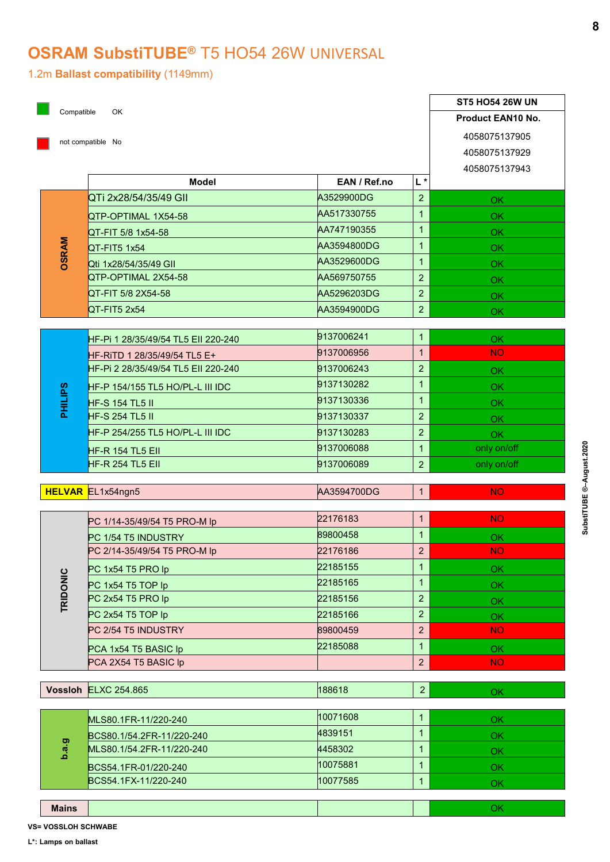#### OSRAM SubstiTUBE® T5 HO54 26W UNIVERSAL

|                |                                                        |                            |                                  | <b>ST5 HO54 26W UN</b>         |
|----------------|--------------------------------------------------------|----------------------------|----------------------------------|--------------------------------|
|                | Compatible<br>OK                                       |                            |                                  | <b>Product EAN10 No.</b>       |
|                | not compatible No                                      |                            |                                  | 4058075137905<br>4058075137929 |
|                | <b>Model</b>                                           | EAN / Ref.no               | L*                               | 4058075137943                  |
|                | QTi 2x28/54/35/49 GII                                  | A3529900DG                 | $\overline{2}$                   | OK.                            |
|                | QTP-OPTIMAL 1X54-58                                    | AA517330755                | 1                                | OK                             |
|                | QT-FIT 5/8 1x54-58                                     | AA747190355                | $\mathbf{1}$                     | <b>OK</b>                      |
| <b>DSRAM</b>   | QT-FIT5 1x54                                           | AA3594800DG                | $\mathbf{1}$                     | OK                             |
|                | Qti 1x28/54/35/49 GII                                  | AA3529600DG                | 1                                | OK                             |
|                | QTP-OPTIMAL 2X54-58                                    | AA569750755                | $\overline{2}$<br>$\overline{2}$ | OK                             |
|                | QT-FIT 5/8 2X54-58<br>QT-FIT5 2x54                     | AA5296203DG<br>AA3594900DG | 2 <sup>1</sup>                   | OK                             |
|                |                                                        |                            |                                  | OK.                            |
|                | HF-Pi 1 28/35/49/54 TL5 EII 220-240                    | 9137006241                 | $\mathbf{1}$                     | OK                             |
|                | HF-RITD 1 28/35/49/54 TL5 E+                           | 9137006956                 | 1                                | <b>NO</b>                      |
|                | HF-Pi 2 28/35/49/54 TL5 EII 220-240                    | 9137006243                 | $\overline{2}$                   | OK                             |
|                | HF-P 154/155 TL5 HO/PL-L III IDC                       | 9137130282                 | 1                                | OK                             |
| <b>PHILIPS</b> | <b>HF-S 154 TL5 II</b>                                 | 9137130336                 | $\mathbf 1$                      | OK                             |
|                | <b>HF-S 254 TL5 II</b>                                 | 9137130337                 | $\overline{2}$                   | OK                             |
|                | HF-P 254/255 TL5 HO/PL-L III IDC                       | 9137130283                 | $\overline{2}$                   | OK                             |
|                | HF-R 154 TL5 EII                                       | 9137006088                 | $\mathbf{1}$                     | only on/off                    |
|                | <b>HF-R 254 TL5 EII</b>                                | 9137006089                 | 2 <sup>1</sup>                   | only on/off                    |
|                | <b>HELVAR</b> EL1x54ngn5                               | AA3594700DG                | 1                                | <b>NO</b>                      |
|                |                                                        |                            |                                  |                                |
|                | PC 1/14-35/49/54 T5 PRO-M lp                           | 22176183                   | 1                                | <b>NO</b>                      |
|                | PC 1/54 T5 INDUSTRY                                    | 89800458                   | $\mathbf 1$                      | OK                             |
|                | PC 2/14-35/49/54 T5 PRO-M lp                           | 22176186                   | $\overline{2}$                   | <b>NO</b>                      |
|                | PC 1x54 T5 PRO lp                                      | 22185155                   | $\mathbf{1}$                     | OK                             |
| TRIDONIC       | PC 1x54 T5 TOP Ip                                      | 22185165                   | $\mathbf 1$                      | OK                             |
|                | PC 2x54 T5 PRO lp<br>PC 2x54 T5 TOP Ip                 | 22185156<br>22185166       | $\overline{2}$<br>$\overline{2}$ | OK                             |
|                | PC 2/54 T5 INDUSTRY                                    | 89800459                   | $\overline{2}$                   | OK<br><b>NO</b>                |
|                |                                                        | 22185088                   | 1                                |                                |
|                | PCA 1x54 T5 BASIC Ip<br>PCA 2X54 T5 BASIC Ip           |                            | $\overline{2}$                   | OK<br><b>NO</b>                |
|                |                                                        |                            |                                  |                                |
|                | Vossloh ELXC 254.865                                   | 188618                     | $\overline{2}$                   | OK                             |
|                |                                                        | 10071608                   | 1                                | OK                             |
|                | MLS80.1FR-11/220-240                                   | 4839151                    | $\mathbf 1$                      | OK                             |
| 0.a.9          | BCS80.1/54.2FR-11/220-240<br>MLS80.1/54.2FR-11/220-240 | 4458302                    | $\mathbf{1}$                     | OK                             |
|                | BCS54.1FR-01/220-240                                   | 10075881                   | $\mathbf{1}$                     | OK                             |
|                |                                                        |                            |                                  |                                |
|                | BCS54.1FX-11/220-240                                   | 10077585                   | 1 <sup>1</sup>                   | OK                             |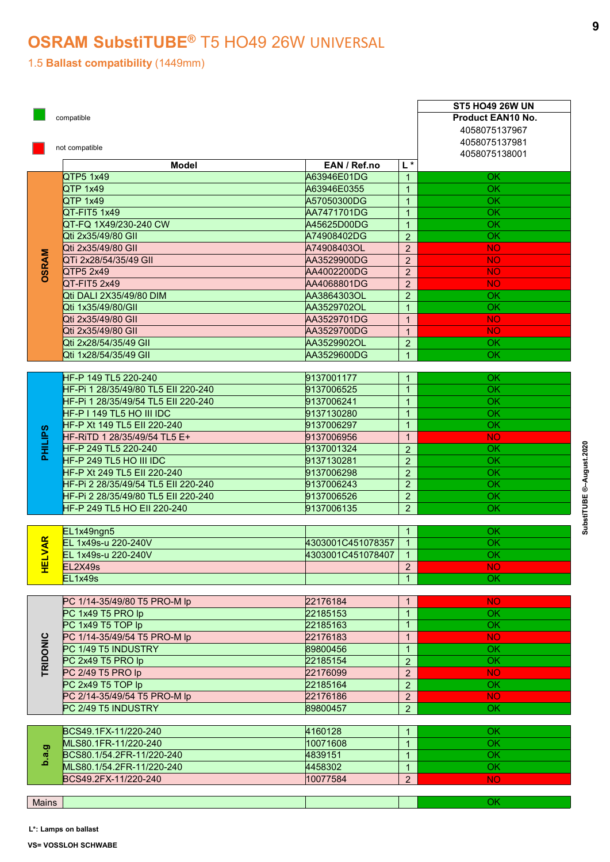#### OSRAM SubstiTUBE® T5 HO49 26W UNIVERSAL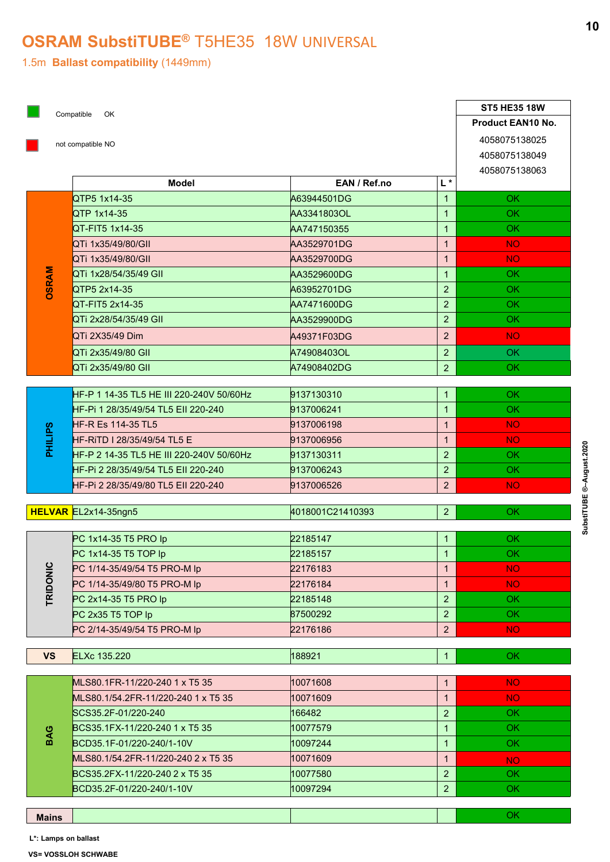#### OSRAM SubstiTUBE<sup>®</sup> T5HE35 18W UNIVERSAL

|                |                                                       |                            |                                | <b>ST5 HE35 18W</b>            |
|----------------|-------------------------------------------------------|----------------------------|--------------------------------|--------------------------------|
|                | Compatible OK                                         |                            |                                | Product EAN10 No.              |
|                | not compatible NO                                     |                            |                                | 4058075138025<br>4058075138049 |
|                |                                                       |                            |                                | 4058075138063                  |
|                | <b>Model</b>                                          | EAN / Ref.no               | $\mathsf{L}^{\star}$           |                                |
|                | QTP5 1x14-35                                          | A63944501DG                | $\mathbf{1}$                   | OK.                            |
|                | QTP 1x14-35<br>QT-FIT5 1x14-35                        | AA3341803OL                | $\mathbf{1}$<br>$\overline{1}$ | <b>OK</b><br><b>OK</b>         |
|                | QTi 1x35/49/80/GII                                    | AA747150355<br>AA3529701DG | $\mathbf{1}$                   | NO.                            |
|                | QTi 1x35/49/80/GII                                    | AA3529700DG                | $\mathbf{1}$                   | NO <sub>1</sub>                |
|                | QTi 1x28/54/35/49 GII                                 | AA3529600DG                | $\mathbf{1}$                   | OK.                            |
| <b>DSRAM</b>   | QTP5 2x14-35                                          | A63952701DG                | $\overline{2}$                 | OK.                            |
|                | QT-FIT5 2x14-35                                       | AA7471600DG                | $\overline{2}$                 | OK                             |
|                | QTi 2x28/54/35/49 GII                                 | AA3529900DG                | $\overline{2}$                 | OK.                            |
|                | QTi 2X35/49 Dim                                       | A49371F03DG                | $\overline{2}$                 | NO <sub>1</sub>                |
|                | QTi 2x35/49/80 GII                                    | A74908403OL                | $\overline{2}$                 | OK.                            |
|                | QTi 2x35/49/80 GII                                    | A74908402DG                | $\overline{2}$                 | OK.                            |
|                | HF-P 1 14-35 TL5 HE III 220-240V 50/60Hz              | 9137130310                 | $\mathbf{1}$                   | OK.                            |
|                | HF-Pi 1 28/35/49/54 TL5 EII 220-240                   | 9137006241                 | $\overline{1}$                 | <b>OK</b>                      |
|                | <b>HF-R Es 114-35 TL5</b>                             | 9137006198                 | $\mathbf{1}$                   | NO.                            |
| <b>PHILIPS</b> | HF-RITD I 28/35/49/54 TL5 E                           | 9137006956                 | $\mathbf{1}$                   | <b>NO</b>                      |
|                | HF-P 2 14-35 TL5 HE III 220-240V 50/60Hz              | 9137130311                 | $\overline{2}$                 | OK.                            |
|                | HF-Pi 2 28/35/49/54 TL5 EII 220-240                   | 9137006243                 | $\overline{2}$                 | OK.                            |
|                | HF-Pi 2 28/35/49/80 TL5 EII 220-240                   | 9137006526                 | $\overline{2}$                 | NO <sub>1</sub>                |
|                | HELVAR EL2x14-35ngn5                                  | 4018001C21410393           | 2 <sup>1</sup>                 | OK                             |
|                | PC 1x14-35 T5 PRO lp                                  | 22185147                   | $\mathbf{1}$                   | OK.                            |
|                | PC 1x14-35 T5 TOP Ip                                  | 22185157                   | $\mathbf{1}$                   | OK.                            |
|                | PC 1/14-35/49/54 T5 PRO-M lp                          | 22176183                   | $\mathbf{1}$                   | NO.                            |
| TRIDONIC       | PC 1/14-35/49/80 T5 PRO-M lp                          | 22176184                   | $\mathbf{1}$                   | NO.                            |
|                | PC 2x14-35 T5 PRO lp                                  | 22185148                   | $\overline{2}$                 | OK.                            |
|                | PC 2x35 T5 TOP Ip                                     | 87500292                   | $\overline{2}$                 | OK.                            |
|                | PC 2/14-35/49/54 T5 PRO-M lp                          | 22176186                   | $\overline{2}$                 | NO.                            |
| <b>VS</b>      | <b>ELXc 135.220</b>                                   | 188921                     | 1                              | <b>OK</b>                      |
|                |                                                       |                            |                                |                                |
|                | MLS80.1FR-11/220-240 1 x T5 35                        | 10071608                   | $\mathbf{1}$                   | NO <sub>1</sub>                |
|                | MLS80.1/54.2FR-11/220-240 1 x T5 35                   | 10071609                   | $\mathbf{1}$                   | <b>NO</b>                      |
|                | SCS35.2F-01/220-240<br>BCS35.1FX-11/220-240 1 x T5 35 | 166482<br>10077579         | $\overline{2}$<br>$\mathbf{1}$ | OK.<br>OK.                     |
| BAG            | BCD35.1F-01/220-240/1-10V                             | 10097244                   | $\mathbf{1}$                   | OK.                            |
|                | MLS80.1/54.2FR-11/220-240 2 x T5 35                   | 10071609                   | $\mathbf{1}$                   | <b>NO</b>                      |
|                | BCS35.2FX-11/220-240 2 x T5 35                        | 10077580                   | $\overline{2}$                 | OK                             |
|                | BCD35.2F-01/220-240/1-10V                             | 10097294                   | $\overline{2}$                 | OK                             |
|                |                                                       |                            |                                |                                |

L\*: Lamps on ballast

VS= VOSSLOH SCHWABE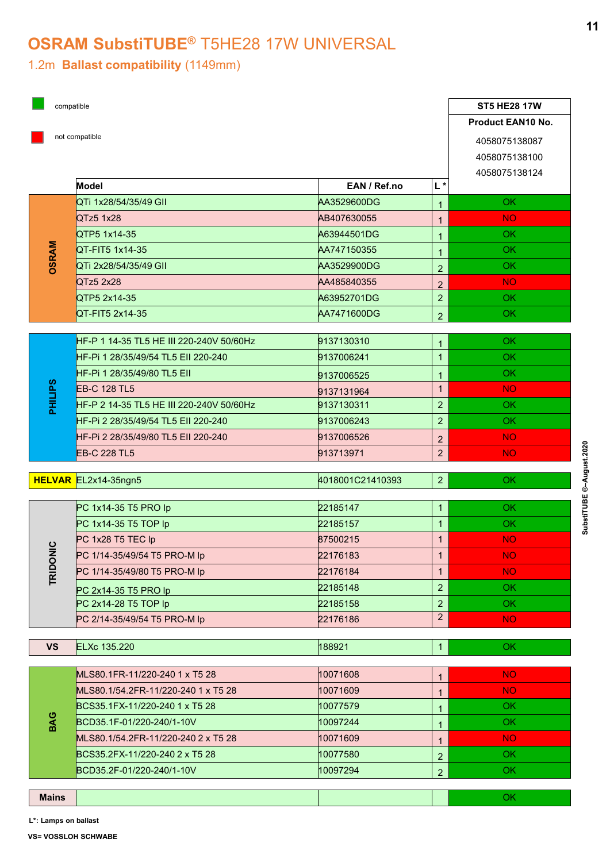#### OSRAM SubstiTUBE<sup>®</sup> T5HE28 17W UNIVERSAL

#### 1.2m Ballast compatibility (1149mm)

|                | compatible                                           |                      |                                  | <b>ST5 HE28 17W</b>            |
|----------------|------------------------------------------------------|----------------------|----------------------------------|--------------------------------|
|                |                                                      |                      |                                  | Product EAN10 No.              |
|                | not compatible                                       |                      |                                  | 4058075138087<br>4058075138100 |
|                | Model                                                | EAN / Ref.no         | $ L*$                            | 4058075138124                  |
|                | QTi 1x28/54/35/49 GII                                | AA3529600DG          | $\overline{1}$                   | <b>OK</b>                      |
|                | QTz5 1x28                                            | AB407630055          | $\mathbf{1}$                     | NO.                            |
|                | QTP5 1x14-35                                         | A63944501DG          | 1 <sup>1</sup>                   | <b>OK</b>                      |
| <b>OSRAM</b>   | QT-FIT5 1x14-35                                      | AA747150355          | 1 <sup>1</sup>                   | <b>OK</b>                      |
|                | QTi 2x28/54/35/49 GII                                | AA3529900DG          | 2 <sup>1</sup>                   | <b>OK</b>                      |
|                | QTz52x28                                             | AA485840355          | 2 <sup>2</sup>                   | NO.                            |
|                | QTP5 2x14-35                                         | A63952701DG          | $\overline{2}$                   | OK                             |
|                | QT-FIT5 2x14-35                                      | AA7471600DG          | 2 <sup>1</sup>                   | OK                             |
|                | HF-P 1 14-35 TL5 HE III 220-240V 50/60Hz             | 9137130310           | 1 <sup>1</sup>                   | <b>OK</b>                      |
|                | HF-Pi 1 28/35/49/54 TL5 Ell 220-240                  | 9137006241           | $\mathbf{1}$                     | OK                             |
|                | HF-Pi 1 28/35/49/80 TL5 Ell                          | 9137006525           | $\mathbf{1}$                     | OK                             |
|                | <b>EB-C 128 TL5</b>                                  | 9137131964           | $\overline{1}$                   | NO.                            |
| <b>PHILIPS</b> | HF-P 2 14-35 TL5 HE III 220-240V 50/60Hz             | 9137130311           | 2 <sup>7</sup>                   | OK.                            |
|                | HF-Pi 2 28/35/49/54 TL5 Ell 220-240                  | 9137006243           | 2 <sup>7</sup>                   | OK                             |
|                | HF-Pi 2 28/35/49/80 TL5 EII 220-240                  | 9137006526           | 2 <sup>7</sup>                   | NO.                            |
|                | <b>EB-C 228 TL5</b>                                  | 913713971            | 2                                | <b>NO</b>                      |
|                | HELVAR EL2x14-35ngn5                                 | 4018001C21410393     | 2                                | OK                             |
|                |                                                      |                      |                                  |                                |
|                | PC 1x14-35 T5 PRO lp                                 | 22185147             | $\mathbf{1}$                     | OK                             |
|                | PC 1x14-35 T5 TOP lp                                 | 22185157             | $\overline{1}$                   | OK                             |
|                | PC 1x28 T5 TEC lp                                    | 87500215             | $\mathbf{1}$                     | NO.                            |
| TRIDONIC       | PC 1/14-35/49/54 T5 PRO-M lp                         | 22176183             | $\mathbf{1}$                     | NO.                            |
|                | PC 1/14-35/49/80 T5 PRO-M lp                         | 22176184             | $\mathbf{1}$                     | <b>NO</b>                      |
|                | PC 2x14-35 T5 PRO lp                                 | 22185148             | 2 <sup>1</sup>                   | OK.                            |
|                | PC 2x14-28 T5 TOP lp<br>PC 2/14-35/49/54 T5 PRO-M lp | 22185158<br>22176186 | 2 <sup>1</sup><br>$\overline{2}$ | OK<br>NO.                      |
|                |                                                      |                      |                                  |                                |
| <b>VS</b>      | <b>ELXc 135.220</b>                                  | 188921               | $\mathbf{1}$                     | OK                             |
|                | MLS80.1FR-11/220-240 1 x T5 28                       | 10071608             |                                  | NO.                            |
|                | MLS80.1/54.2FR-11/220-240 1 x T5 28                  | 10071609             | 1                                | NO.                            |
|                | BCS35.1FX-11/220-240 1 x T5 28                       | 10077579             | $\overline{1}$                   | OK.                            |
| BAG            | BCD35.1F-01/220-240/1-10V                            | 10097244             | 1                                | OK                             |
|                | MLS80.1/54.2FR-11/220-240 2 x T5 28                  | 10071609             | $\mathbf{1}$<br>1                | <b>NO</b>                      |
|                | BCS35.2FX-11/220-240 2 x T5 28                       | 10077580             | 2 <sup>7</sup>                   | OK.                            |
|                |                                                      |                      |                                  |                                |
|                | BCD35.2F-01/220-240/1-10V                            | 10097294             | 2 <sup>7</sup>                   | OK                             |

L\*: Lamps on ballast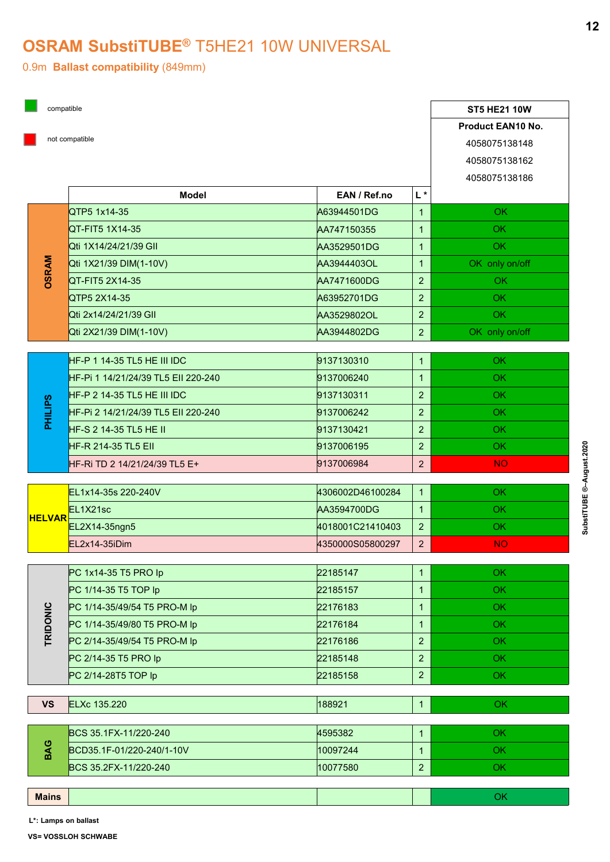## OSRAM SubstiTUBE® T5HE21 10W UNIVERSAL

|                | compatible                          |                   |                                  | <b>ST5 HE21 10W</b>            |
|----------------|-------------------------------------|-------------------|----------------------------------|--------------------------------|
|                |                                     | Product EAN10 No. |                                  |                                |
|                | not compatible                      |                   |                                  | 4058075138148<br>4058075138162 |
|                | <b>Model</b>                        | EAN / Ref.no      | $\mathsf{L}^{\star}$             | 4058075138186                  |
|                | QTP5 1x14-35                        | A63944501DG       | $\mathbf{1}$                     | OK                             |
| <b>OSRAM</b>   | QT-FIT5 1X14-35                     | AA747150355       | $\mathbf{1}$                     | <b>OK</b>                      |
|                | Qti 1X14/24/21/39 GII               | AA3529501DG       | $\mathbf{1}$                     | OK                             |
|                | Qti 1X21/39 DIM(1-10V)              | AA3944403OL       | $\mathbf{1}$                     | OK only on/off                 |
|                | QT-FIT5 2X14-35                     | AA7471600DG       | 2 <sup>1</sup>                   | <b>OK</b>                      |
|                | QTP5 2X14-35                        | A63952701DG       | 2 <sup>1</sup>                   | OK                             |
|                | Qti 2x14/24/21/39 GII               | AA3529802OL       | 2 <sup>1</sup>                   | OK                             |
|                | Qti 2X21/39 DIM(1-10V)              | AA3944802DG       | 2 <sup>7</sup>                   | OK only on/off                 |
|                | HF-P 1 14-35 TL5 HE III IDC         | 9137130310        | $\mathbf{1}$                     | OK                             |
|                | HF-Pi 1 14/21/24/39 TL5 Ell 220-240 | 9137006240        |                                  | OK                             |
| <b>PHILIPS</b> | <b>HF-P 2 14-35 TL5 HE III IDC</b>  | 9137130311        | 2 <sup>7</sup>                   | OK                             |
|                | HF-Pi 2 14/21/24/39 TL5 EII 220-240 | 9137006242        | 2 <sup>7</sup>                   | OK                             |
|                | $HF-S 2 14-35 TL5 HE II$            | 9137130421        | $\overline{2}$                   | OK                             |
|                | HF-R 214-35 TL5 EII                 | 9137006195        | 2 <sup>1</sup>                   | OK                             |
|                | HF-Ri TD 2 14/21/24/39 TL5 E+       | 9137006984        | $\overline{2}$                   | <b>NO</b>                      |
|                |                                     |                   |                                  |                                |
| <b>HELVAR</b>  | EL1x14-35s 220-240V                 | 4306002D46100284  | $\overline{1}$                   | OK                             |
|                | EL1X21sc                            | AA3594700DG       | $\overline{1}$<br>2 <sup>7</sup> | OK                             |
|                | EL2X14-35ngn5<br>EL2x14-35iDim      | 4018001C21410403  | 2 <sup>7</sup>                   | OK<br><b>NO</b>                |
|                |                                     | 4350000S05800297  |                                  |                                |
| TRIDONIC       | PC 1x14-35 T5 PRO lp                | 22185147          | $\mathbf{1}$                     | OK                             |
|                | PC 1/14-35 T5 TOP lp                | 22185157          | $\mathbf{1}$                     | OK                             |
|                | PC 1/14-35/49/54 T5 PRO-M lp        | 22176183          | $\mathbf{1}$                     | OK                             |
|                | PC 1/14-35/49/80 T5 PRO-M lp        | 22176184          | $\mathbf{1}$                     | OK                             |
|                | PC 2/14-35/49/54 T5 PRO-M lp        | 22176186          | 2 <sup>7</sup>                   | OK.                            |
|                | PC 2/14-35 T5 PRO lp                | 22185148          | $\overline{2}$                   | OK                             |
|                | PC 2/14-28T5 TOP lp                 | 22185158          | 2 <sup>1</sup>                   | OK                             |
| <b>VS</b>      | <b>ELXc 135.220</b>                 | 188921            |                                  | OK                             |
|                | BCS 35.1FX-11/220-240               | 4595382           | $\mathbf{1}$                     | OK                             |
| BAG            | BCD35.1F-01/220-240/1-10V           | 10097244          | $\mathbf{1}$                     | OK                             |
|                | BCS 35.2FX-11/220-240               | 10077580          | $\overline{2}$                   | OK.                            |
|                |                                     |                   |                                  |                                |